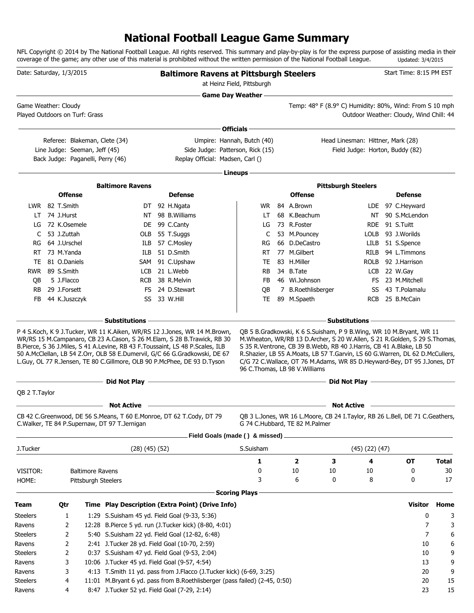# **National Football League Game Summary**

NFL Copyright © 2014 by The National Football League. All rights reserved. This summary and play-by-play is for the express purpose of assisting media in their coverage of the game; any other use of this material is prohibited without the written permission of the National Football League. Updated: 3/4/2015

| Date: Saturday, 1/3/2015                               |                                 |                                   |                                                 | <b>Baltimore Ravens at Pittsburgh Steelers</b>                                                                                                                                                                                                                                                                           |                      | at Heinz Field, Pittsburgh |                                |                                   |                      | Start Time: 8:15 PM EST                                                                                                                                                                                                        |          |
|--------------------------------------------------------|---------------------------------|-----------------------------------|-------------------------------------------------|--------------------------------------------------------------------------------------------------------------------------------------------------------------------------------------------------------------------------------------------------------------------------------------------------------------------------|----------------------|----------------------------|--------------------------------|-----------------------------------|----------------------|--------------------------------------------------------------------------------------------------------------------------------------------------------------------------------------------------------------------------------|----------|
|                                                        |                                 |                                   |                                                 | <b>Game Day Weather -</b>                                                                                                                                                                                                                                                                                                |                      |                            |                                |                                   |                      |                                                                                                                                                                                                                                |          |
| Game Weather: Cloudy<br>Played Outdoors on Turf: Grass |                                 |                                   |                                                 |                                                                                                                                                                                                                                                                                                                          |                      |                            |                                |                                   |                      | Temp: 48° F (8.9° C) Humidity: 80%, Wind: From S 10 mph<br>Outdoor Weather: Cloudy, Wind Chill: 44                                                                                                                             |          |
|                                                        |                                 |                                   |                                                 |                                                                                                                                                                                                                                                                                                                          | Officials -          |                            |                                |                                   |                      |                                                                                                                                                                                                                                |          |
|                                                        |                                 |                                   | Referee: Blakeman, Clete (34)                   |                                                                                                                                                                                                                                                                                                                          |                      | Umpire: Hannah, Butch (40) |                                | Head Linesman: Hittner, Mark (28) |                      |                                                                                                                                                                                                                                |          |
|                                                        |                                 | Line Judge: Seeman, Jeff (45)     |                                                 | Side Judge: Patterson, Rick (15)                                                                                                                                                                                                                                                                                         |                      |                            |                                |                                   |                      | Field Judge: Horton, Buddy (82)                                                                                                                                                                                                |          |
|                                                        |                                 | Back Judge: Paganelli, Perry (46) |                                                 | Replay Official: Madsen, Carl ()                                                                                                                                                                                                                                                                                         |                      |                            |                                |                                   |                      |                                                                                                                                                                                                                                |          |
|                                                        |                                 |                                   |                                                 |                                                                                                                                                                                                                                                                                                                          | · Lineups -          |                            |                                |                                   |                      |                                                                                                                                                                                                                                |          |
|                                                        |                                 |                                   |                                                 |                                                                                                                                                                                                                                                                                                                          |                      |                            |                                |                                   |                      |                                                                                                                                                                                                                                |          |
|                                                        | <b>Offense</b>                  |                                   | <b>Baltimore Ravens</b>                         | <b>Defense</b>                                                                                                                                                                                                                                                                                                           |                      |                            | <b>Offense</b>                 | <b>Pittsburgh Steelers</b>        |                      | <b>Defense</b>                                                                                                                                                                                                                 |          |
|                                                        |                                 |                                   |                                                 |                                                                                                                                                                                                                                                                                                                          |                      |                            |                                |                                   |                      |                                                                                                                                                                                                                                |          |
|                                                        | LWR 82 T.Smith<br>LT 74 J.Hurst |                                   | NT                                              | DT 92 H.Ngata<br>98 B. Williams                                                                                                                                                                                                                                                                                          |                      | WR .<br>LT.                | 84 A.Brown<br>68 K.Beachum     |                                   |                      | LDE 97 C.Heyward<br>NT 90 S.McLendon                                                                                                                                                                                           |          |
| LG                                                     | 72 K.Osemele                    |                                   |                                                 | DE 99 C.Canty                                                                                                                                                                                                                                                                                                            |                      | LG                         | 73 R.Foster                    |                                   | RDE.                 | 91 S.Tuitt                                                                                                                                                                                                                     |          |
| C                                                      | 53 J.Zuttah                     |                                   |                                                 | OLB 55 T.Suggs                                                                                                                                                                                                                                                                                                           |                      | C                          | 53 M.Pouncey                   |                                   | LOLB                 | 93 J.Worilds                                                                                                                                                                                                                   |          |
| RG                                                     | 64 J.Urschel                    |                                   | ILB                                             | 57 C.Mosley                                                                                                                                                                                                                                                                                                              |                      | RG                         | 66 D.DeCastro                  |                                   |                      | LILB 51 S.Spence                                                                                                                                                                                                               |          |
| RT                                                     | 73 M.Yanda                      |                                   | ILB                                             | 51 D.Smith                                                                                                                                                                                                                                                                                                               |                      | RT                         | 77 M.Gilbert                   |                                   | RILB                 | 94 L.Timmons                                                                                                                                                                                                                   |          |
| TE                                                     | 81 O.Daniels                    |                                   |                                                 | SAM 91 C.Upshaw                                                                                                                                                                                                                                                                                                          |                      | TE                         | 83 H.Miller                    |                                   |                      | ROLB 92 J.Harrison                                                                                                                                                                                                             |          |
| RWR                                                    | 89 S.Smith                      |                                   |                                                 | LCB 21 L.Webb                                                                                                                                                                                                                                                                                                            |                      | <b>RB</b>                  | 34 B.Tate                      |                                   |                      | LCB 22 W.Gay                                                                                                                                                                                                                   |          |
| OВ                                                     | 5 J.Flacco                      |                                   | <b>RCB</b>                                      | 38 R.Melvin                                                                                                                                                                                                                                                                                                              |                      | FB                         | 46 Wi.Johnson                  |                                   |                      | FS 23 M.Mitchell                                                                                                                                                                                                               |          |
| <b>RB</b>                                              | 29 J.Forsett                    |                                   |                                                 | FS 24 D.Stewart                                                                                                                                                                                                                                                                                                          |                      | QB                         | 7 B.Roethlisberger             |                                   | SS                   | 43 T.Polamalu                                                                                                                                                                                                                  |          |
| FB                                                     | 44 K.Juszczyk                   |                                   |                                                 | SS 33 W.Hill                                                                                                                                                                                                                                                                                                             |                      | TE                         | 89 M.Spaeth                    |                                   |                      | RCB 25 B.McCain                                                                                                                                                                                                                |          |
|                                                        |                                 |                                   |                                                 |                                                                                                                                                                                                                                                                                                                          |                      |                            |                                |                                   |                      |                                                                                                                                                                                                                                |          |
|                                                        |                                 |                                   | <b>Substitutions</b>                            |                                                                                                                                                                                                                                                                                                                          |                      |                            |                                | <b>Substitutions</b>              |                      |                                                                                                                                                                                                                                |          |
|                                                        |                                 |                                   |                                                 | B.Pierce, S 36 J.Miles, S 41 A.Levine, RB 43 F.Toussaint, LS 48 P.Scales, ILB<br>50 A.McClellan, LB 54 Z.Orr, OLB 58 E.Dumervil, G/C 66 G.Gradkowski, DE 67<br>L.Guy, OL 77 R.Jensen, TE 80 C.Gillmore, OLB 90 P.McPhee, DE 93 D.Tyson<br>the control of the control of the control of the control of the control of the |                      |                            | 96 C.Thomas, LB 98 V.Williams  |                                   |                      | S 35 R.Ventrone, CB 39 B.Webb, RB 40 J.Harris, CB 41 A.Blake, LB 50<br>R.Shazier, LB 55 A.Moats, LB 57 T.Garvin, LS 60 G.Warren, DL 62 D.McCullers,<br>C/G 72 C.Wallace, OT 76 M.Adams, WR 85 D.Heyward-Bey, DT 95 J.Jones, DT |          |
|                                                        |                                 |                                   | Did Not Play -                                  |                                                                                                                                                                                                                                                                                                                          |                      |                            |                                |                                   |                      | Did Not Play <u>_________________________</u>                                                                                                                                                                                  |          |
| OB 2 T. Taylor                                         |                                 |                                   |                                                 |                                                                                                                                                                                                                                                                                                                          |                      |                            |                                |                                   |                      |                                                                                                                                                                                                                                |          |
|                                                        |                                 |                                   | <b>Not Active</b>                               |                                                                                                                                                                                                                                                                                                                          |                      |                            |                                | <b>Not Active</b>                 |                      |                                                                                                                                                                                                                                |          |
|                                                        |                                 |                                   | C. Walker, TE 84 P. Supernaw, DT 97 T. Jernigan | CB 42 C.Greenwood, DE 56 S.Means, T 60 E.Monroe, DT 62 T.Cody, DT 79                                                                                                                                                                                                                                                     |                      |                            | G 74 C.Hubbard, TE 82 M.Palmer |                                   |                      | OB 3 L.Jones, WR 16 L.Moore, CB 24 I.Taylor, RB 26 L.Bell, DE 71 C.Geathers,                                                                                                                                                   |          |
|                                                        |                                 |                                   |                                                 | Field Goals (made () & missed).                                                                                                                                                                                                                                                                                          |                      |                            |                                |                                   |                      |                                                                                                                                                                                                                                |          |
| J.Tucker                                               |                                 |                                   | $(28)$ $(45)$ $(52)$                            |                                                                                                                                                                                                                                                                                                                          |                      | S.Suisham                  |                                |                                   | $(45)$ $(22)$ $(47)$ |                                                                                                                                                                                                                                |          |
|                                                        |                                 |                                   |                                                 |                                                                                                                                                                                                                                                                                                                          |                      | 1                          | $\overline{\mathbf{2}}$        | 3                                 | 4                    | <b>OT</b>                                                                                                                                                                                                                      | Total    |
| VISITOR:                                               |                                 | <b>Baltimore Ravens</b>           |                                                 |                                                                                                                                                                                                                                                                                                                          |                      | 0                          | 10                             | 10                                | 10                   | 0                                                                                                                                                                                                                              | 30       |
| HOME:                                                  |                                 | Pittsburgh Steelers               |                                                 |                                                                                                                                                                                                                                                                                                                          |                      | 3                          | 6                              | 0                                 | 8                    | 0                                                                                                                                                                                                                              | 17       |
|                                                        |                                 |                                   |                                                 |                                                                                                                                                                                                                                                                                                                          | <b>Scoring Plays</b> |                            |                                |                                   |                      |                                                                                                                                                                                                                                |          |
| Team                                                   | Qtr                             |                                   |                                                 | Time Play Description (Extra Point) (Drive Info)                                                                                                                                                                                                                                                                         |                      |                            |                                |                                   |                      | <b>Visitor</b>                                                                                                                                                                                                                 | Home     |
| <b>Steelers</b>                                        | 1                               |                                   | 1:29 S.Suisham 45 yd. Field Goal (9-33, 5:36)   |                                                                                                                                                                                                                                                                                                                          |                      |                            |                                |                                   |                      | 0                                                                                                                                                                                                                              | 3        |
| Ravens                                                 | 2                               |                                   |                                                 | 12:28 B.Pierce 5 yd. run (J.Tucker kick) (8-80, 4:01)                                                                                                                                                                                                                                                                    |                      |                            |                                |                                   |                      | 7                                                                                                                                                                                                                              | 3        |
| <b>Steelers</b>                                        | 2                               |                                   |                                                 | 5:40 S.Suisham 22 yd. Field Goal (12-82, 6:48)                                                                                                                                                                                                                                                                           |                      |                            |                                |                                   |                      | 7                                                                                                                                                                                                                              | 6        |
| Ravens                                                 | 2                               |                                   | 2:41 J.Tucker 28 yd. Field Goal (10-70, 2:59)   |                                                                                                                                                                                                                                                                                                                          |                      |                            |                                |                                   |                      | 10                                                                                                                                                                                                                             | 6        |
| Steelers                                               | 2                               |                                   | 0:37 S.Suisham 47 yd. Field Goal (9-53, 2:04)   |                                                                                                                                                                                                                                                                                                                          |                      |                            |                                |                                   |                      | 10                                                                                                                                                                                                                             | 9        |
| Ravens                                                 | 3                               |                                   | 10:06 J.Tucker 45 yd. Field Goal (9-57, 4:54)   |                                                                                                                                                                                                                                                                                                                          |                      |                            |                                |                                   |                      | 13                                                                                                                                                                                                                             | 9        |
| Ravens                                                 | 3                               |                                   |                                                 | 4:13 T.Smith 11 yd. pass from J.Flacco (J.Tucker kick) (6-69, 3:25)                                                                                                                                                                                                                                                      |                      |                            |                                |                                   |                      | 20                                                                                                                                                                                                                             | 9        |
| <b>Steelers</b><br>Ravens                              | 4<br>4                          |                                   | 8:47 J.Tucker 52 yd. Field Goal (7-29, 2:14)    | 11:01 M.Bryant 6 yd. pass from B.Roethlisberger (pass failed) (2-45, 0:50)                                                                                                                                                                                                                                               |                      |                            |                                |                                   |                      | 20<br>23                                                                                                                                                                                                                       | 15<br>15 |
|                                                        |                                 |                                   |                                                 |                                                                                                                                                                                                                                                                                                                          |                      |                            |                                |                                   |                      |                                                                                                                                                                                                                                |          |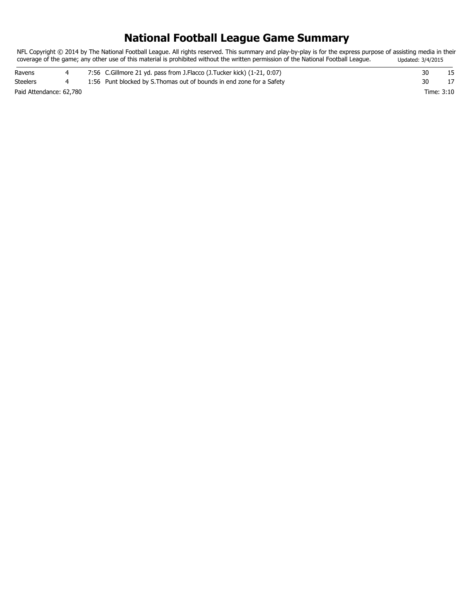# **National Football League Game Summary**

NFL Copyright © 2014 by The National Football League. All rights reserved. This summary and play-by-play is for the express purpose of assisting media in their coverage of the game; any other use of this material is prohibited without the written permission of the National Football League. Updated: 3/4/2015

| Ravens                  |  | 7:56 C.Gillmore 21 yd. pass from J.Flacco (J.Tucker kick) (1-21, 0:07) |            |  |
|-------------------------|--|------------------------------------------------------------------------|------------|--|
| <b>Steelers</b>         |  | 1:56 Punt blocked by S. Thomas out of bounds in end zone for a Safety  |            |  |
| Paid Attendance: 62,780 |  |                                                                        | Time: 3:10 |  |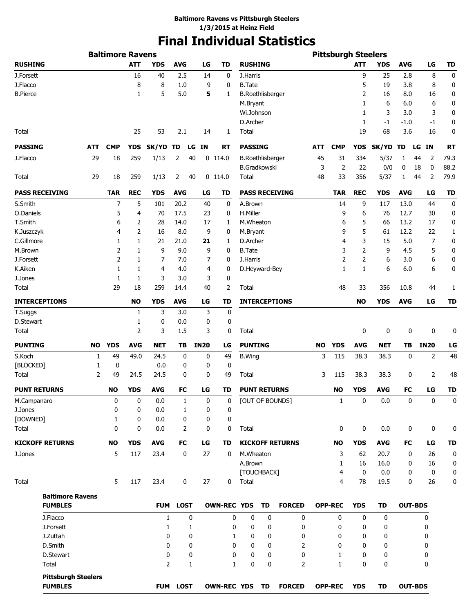# **Final Individual Statistics**

|                     |                                              |            | <b>Baltimore Ravens</b> |            |                |             |    |             |                    |                         |    |                        |           | <b>Pittsburgh Steelers</b> |                |            |                  |                |             |
|---------------------|----------------------------------------------|------------|-------------------------|------------|----------------|-------------|----|-------------|--------------------|-------------------------|----|------------------------|-----------|----------------------------|----------------|------------|------------------|----------------|-------------|
| <b>RUSHING</b>      |                                              |            |                         | <b>ATT</b> | <b>YDS</b>     | <b>AVG</b>  |    | LG          | <b>TD</b>          | <b>RUSHING</b>          |    |                        |           |                            | <b>ATT</b>     | <b>YDS</b> | <b>AVG</b>       | LG             | <b>TD</b>   |
| J.Forsett           |                                              |            |                         | 16         | 40             | 2.5         |    | 14          | 0                  | J.Harris                |    |                        |           |                            | 9              | 25         | 2.8              | 8              | 0           |
| J.Flacco            |                                              |            |                         | 8          | 8              | 1.0         |    | 9           | 0                  | <b>B.Tate</b>           |    |                        |           |                            | 5              | 19         | 3.8              | 8              | 0           |
| <b>B.Pierce</b>     |                                              |            |                         | 1          | 5              | 5.0         |    | 5           | 1                  | <b>B.Roethlisberger</b> |    |                        |           |                            | 2              | 16         | 8.0              | 16             | 0           |
|                     |                                              |            |                         |            |                |             |    |             |                    | M.Bryant                |    |                        |           |                            | 1              | 6          | 6.0              | 6              | 0           |
|                     |                                              |            |                         |            |                |             |    |             |                    | Wi.Johnson              |    |                        |           |                            | 1              | 3          | 3.0              | 3              | 0           |
|                     |                                              |            |                         |            |                |             |    |             |                    | D.Archer                |    |                        |           |                            | 1              | $-1$       | $-1.0$           | -1             | 0           |
| Total               |                                              |            |                         | 25         | 53             | 2.1         |    | 14          | 1                  | Total                   |    |                        |           |                            | 19             | 68         | 3.6              | 16             | 0           |
| <b>PASSING</b>      |                                              | <b>ATT</b> | <b>CMP</b>              | <b>YDS</b> | <b>SK/YD</b>   | TD          |    | LG IN       | RT                 | <b>PASSING</b>          |    |                        | ATT       | <b>CMP</b>                 | <b>YDS</b>     | SK/YD TD   |                  | LG IN          | <b>RT</b>   |
| J.Flacco            |                                              | 29         | 18                      | 259        | 1/13           | 2           | 40 |             | $0$ 114.0          | <b>B.Roethlisberger</b> |    |                        | 45        | 31                         | 334            | 5/37       | 1                | 2<br>44        | 79.3        |
|                     |                                              |            |                         |            |                |             |    |             |                    | <b>B.Gradkowski</b>     |    |                        | 3         | 2                          | 22             | 0/0        | 0                | 18<br>0        | 88.2        |
| Total               |                                              | 29         | 18                      | 259        | 1/13           | 2           | 40 |             | $0$ 114.0          | Total                   |    |                        | 48        | 33                         | 356            | 5/37       | 1                | 2<br>44        | 79.9        |
|                     | <b>PASS RECEIVING</b>                        |            | <b>TAR</b>              | <b>REC</b> | <b>YDS</b>     | <b>AVG</b>  |    | LG          | TD                 |                         |    | <b>PASS RECEIVING</b>  |           | <b>TAR</b>                 | <b>REC</b>     | <b>YDS</b> | <b>AVG</b>       | LG             | <b>TD</b>   |
| S.Smith             |                                              |            | 7                       | 5          | 101            | 20.2        |    | 40          | 0                  | A.Brown                 |    |                        |           | 14                         | 9              | 117        | 13.0             | 44             | 0           |
| O.Daniels           |                                              |            | 5                       | 4          | 70             | 17.5        |    | 23          | 0                  | H.Miller                |    |                        |           | 9                          | 6              | 76         | 12.7             | 30             | 0           |
| T.Smith             |                                              |            | 6                       | 2          | 28             | 14.0        |    | 17          | 1                  | M.Wheaton               |    |                        |           | 6                          | 5              | 66         | 13.2             | 17             | 0           |
| K.Juszczyk          |                                              |            | 4                       | 2          | 16             | 8.0         |    | 9           | 0                  | M.Bryant                |    |                        |           | 9                          | 5              | 61         | 12.2             | 22             | 1           |
| C.Gillmore          |                                              |            | 1                       | 1          | 21             | 21.0        |    | 21          | 1                  | D.Archer                |    |                        |           | 4                          | 3              | 15         | 5.0              | 7              | 0           |
| M.Brown             |                                              |            | 2                       | 1          | 9              | 9.0         |    | 9           | 0                  | <b>B.Tate</b>           |    |                        |           | 3                          | $\overline{2}$ | 9          | 4.5              | 5              | 0           |
| J.Forsett           |                                              |            | $\overline{2}$          | 1          | 7              | 7.0         |    | 7           | 0                  | J.Harris                |    |                        |           | 2                          | 2              | 6          | 3.0              | 6              | 0           |
| K.Aiken             |                                              |            | 1                       | 1          | 4              | 4.0         |    | 4           | 0                  | D.Heyward-Bey           |    |                        |           | 1                          | $\mathbf{1}$   | 6          | 6.0              | 6              | 0           |
| J.Jones             |                                              |            | 1                       | 1          | 3              | 3.0         |    | 3           | 0                  |                         |    |                        |           |                            |                |            |                  |                |             |
| Total               |                                              |            | 29                      | 18         | 259            | 14.4        |    | 40          | $\overline{2}$     | Total                   |    |                        |           | 48                         | 33             | 356        | 10.8             | 44             | 1           |
|                     | <b>INTERCEPTIONS</b>                         |            |                         | <b>NO</b>  | <b>YDS</b>     | <b>AVG</b>  |    | LG          | TD                 |                         |    | <b>INTERCEPTIONS</b>   |           |                            | <b>NO</b>      | <b>YDS</b> | <b>AVG</b>       | LG             | <b>TD</b>   |
| T.Suggs             |                                              |            |                         | 1          | 3              | 3.0         |    | 3           | 0                  |                         |    |                        |           |                            |                |            |                  |                |             |
| D.Stewart           |                                              |            |                         | 1          | 0              | 0.0         |    | 0           | 0                  |                         |    |                        |           |                            |                |            |                  |                |             |
| Total               |                                              |            |                         | 2          | 3              | 1.5         |    | 3           | 0                  | Total                   |    |                        |           |                            | 0              | 0          | 0                | 0              | 0           |
| <b>PUNTING</b>      |                                              | NO.        | <b>YDS</b>              | <b>AVG</b> | <b>NET</b>     | ΤВ          |    | <b>IN20</b> | LG                 | <b>PUNTING</b>          |    |                        | <b>NO</b> | <b>YDS</b>                 | <b>AVG</b>     | <b>NET</b> | TB               | <b>IN20</b>    | LG          |
| S.Koch              |                                              | 1          | 49                      | 49.0       | 24.5           | 0           |    | 0           | 49                 | <b>B.Wing</b>           |    |                        | 3         | 115                        | 38.3           | 38.3       | 0                | $\overline{2}$ | 48          |
| [BLOCKED]           |                                              | 1          | 0                       |            | 0.0            |             | 0  | 0           | 0                  |                         |    |                        |           |                            |                |            |                  |                |             |
| Total               |                                              | 2          | 49                      | 24.5       | 24.5           |             | 0  | 0           | 49                 | Total                   |    |                        | 3         | 115                        | 38.3           | 38.3       | 0                | 2              | 48          |
| <b>PUNT RETURNS</b> |                                              |            | <b>NO</b>               | <b>YDS</b> | AVG            | FC          |    | LG          | TD                 | <b>PUNT RETURNS</b>     |    |                        |           | <b>NO</b>                  | <b>YDS</b>     | <b>AVG</b> | <b>FC</b>        | LG             | <b>TD</b>   |
| M.Campanaro         |                                              |            | 0                       | 0          | 0.0            |             | 1  | 0           | 0                  |                         |    | [OUT OF BOUNDS]        |           | $\mathbf{1}$               | 0              | 0.0        | 0                | 0              | 0           |
| J.Jones             |                                              |            | 0                       | 0          | 0.0            |             | 1  | 0           | 0                  |                         |    |                        |           |                            |                |            |                  |                |             |
| [DOWNED]            |                                              |            | 1                       | 0          | 0.0            |             | 0  | 0           | 0                  |                         |    |                        |           |                            |                |            |                  |                |             |
| Total               |                                              |            | $\mathbf 0$             | 0          | 0.0            |             | 2  | 0           | 0                  | Total                   |    |                        |           | 0                          | 0              | 0.0        | 0                | 0              | 0           |
|                     | <b>KICKOFF RETURNS</b>                       |            | <b>NO</b>               | <b>YDS</b> | <b>AVG</b>     | FC          |    | LG          | TD                 |                         |    | <b>KICKOFF RETURNS</b> |           | <b>NO</b>                  | <b>YDS</b>     | <b>AVG</b> | FC               | LG             | TD          |
| J.Jones             |                                              |            | 5                       | 117        | 23.4           |             | 0  | 27          | 0                  | M.Wheaton               |    |                        |           | 3                          | 62             | 20.7       | $\boldsymbol{0}$ | 26             | $\mathbf 0$ |
|                     |                                              |            |                         |            |                |             |    |             |                    | A.Brown                 |    |                        |           | 1                          | 16             | 16.0       | 0                | 16             | 0           |
|                     |                                              |            |                         |            |                |             |    |             |                    | [TOUCHBACK]             |    |                        |           | $\overline{4}$             | $\mathbf 0$    | 0.0        | 0                | 0              | $\mathbf 0$ |
| Total               |                                              |            | 5                       | 117        | 23.4           |             | 0  | 27          | 0                  | Total                   |    |                        |           | 4                          | 78             | 19.5       | 0                | 26             | 0           |
|                     | <b>Baltimore Ravens</b>                      |            |                         |            |                |             |    |             |                    |                         |    |                        |           |                            |                |            |                  |                |             |
|                     | <b>FUMBLES</b>                               |            |                         |            | <b>FUM</b>     | <b>LOST</b> |    |             | <b>OWN-REC YDS</b> |                         | TD | <b>FORCED</b>          |           | <b>OPP-REC</b>             | <b>YDS</b>     | <b>TD</b>  | <b>OUT-BDS</b>   |                |             |
|                     | J.Flacco                                     |            |                         |            | 1              |             | 0  |             | 0                  | $\mathbf 0$             | 0  | 0                      |           | 0                          | 0              | 0          |                  | 0              |             |
|                     | J.Forsett                                    |            |                         |            | 1              |             | 1  |             | 0                  | 0                       | 0  | 0                      |           | 0                          | 0              | 0          |                  | 0              |             |
|                     | J.Zuttah                                     |            |                         |            | 0              |             | 0  |             | 1                  | 0                       | 0  | 0                      |           | 0                          | 0              | 0          |                  | 0              |             |
|                     | D.Smith                                      |            |                         |            | 0              |             | 0  |             | 0                  | 0                       | 0  | 2                      |           | $\mathbf{0}$               | 0              | 0          |                  | 0              |             |
|                     | D.Stewart                                    |            |                         |            | 0              |             | 0  |             | 0                  | 0                       | 0  | 0                      |           | 1                          | 0              | 0          |                  | 0              |             |
|                     | Total                                        |            |                         |            | $\overline{2}$ |             | 1  |             | $\mathbf{1}$       | 0                       | 0  | 2                      |           | $\mathbf{1}$               | $\mathbf{0}$   | 0          |                  | 0              |             |
|                     | <b>Pittsburgh Steelers</b><br><b>FUMBLES</b> |            |                         |            |                | FUM LOST    |    |             | OWN-REC YDS TD     |                         |    | <b>FORCED</b>          |           | <b>OPP-REC</b>             | <b>YDS</b>     | <b>TD</b>  | <b>OUT-BDS</b>   |                |             |
|                     |                                              |            |                         |            |                |             |    |             |                    |                         |    |                        |           |                            |                |            |                  |                |             |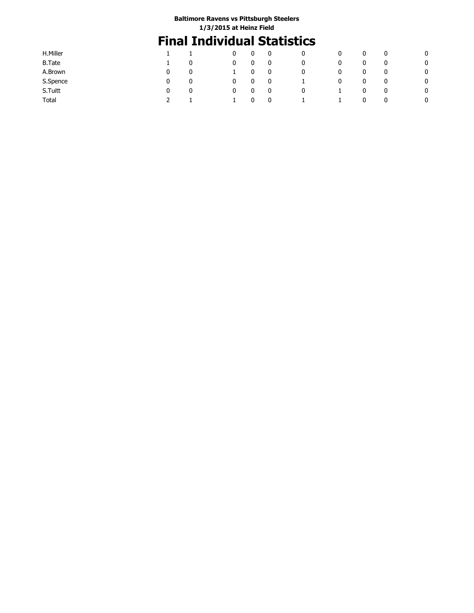# **Final Individual Statistics**

| H.Miller      |               |  |   | 0            | 0 | 0       | 0 | 0 | 0 |   |
|---------------|---------------|--|---|--------------|---|---------|---|---|---|---|
| <b>B.Tate</b> | 0             |  |   | 0            | 0 | 0       | 0 | 0 | 0 | 0 |
| A.Brown       | 0<br>0        |  |   | $\mathbf{0}$ | 0 | 0       | 0 | 0 | 0 | 0 |
| S.Spence      | 0<br>0        |  |   | 0            | 0 | $\perp$ | 0 | 0 | 0 | 0 |
| S.Tuitt       | 0<br>$\Omega$ |  | 0 | 0            | 0 | 0       |   | 0 | 0 | 0 |
| Total         |               |  |   | 0            | 0 |         |   | 0 | 0 | 0 |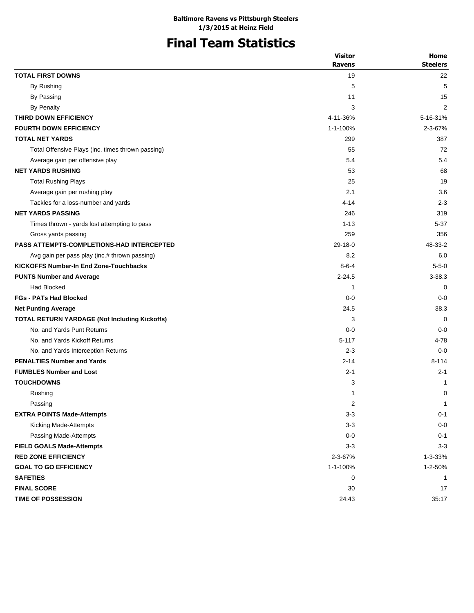# **Final Team Statistics**

|                                                      | <b>Visitor</b> | Home            |
|------------------------------------------------------|----------------|-----------------|
|                                                      | <b>Ravens</b>  | <b>Steelers</b> |
| <b>TOTAL FIRST DOWNS</b>                             | 19             | 22              |
| By Rushing                                           | 5              | 5               |
| By Passing                                           | 11             | 15              |
| <b>By Penalty</b>                                    | 3              | 2               |
| THIRD DOWN EFFICIENCY                                | 4-11-36%       | 5-16-31%        |
| <b>FOURTH DOWN EFFICIENCY</b>                        | 1-1-100%       | 2-3-67%         |
| <b>TOTAL NET YARDS</b>                               | 299            | 387             |
| Total Offensive Plays (inc. times thrown passing)    | 55             | 72              |
| Average gain per offensive play                      | 5.4            | 5.4             |
| <b>NET YARDS RUSHING</b>                             | 53             | 68              |
| <b>Total Rushing Plays</b>                           | 25             | 19              |
| Average gain per rushing play                        | 2.1            | 3.6             |
| Tackles for a loss-number and yards                  | $4 - 14$       | $2 - 3$         |
| <b>NET YARDS PASSING</b>                             | 246            | 319             |
| Times thrown - yards lost attempting to pass         | $1 - 13$       | 5-37            |
| Gross yards passing                                  | 259            | 356             |
| <b>PASS ATTEMPTS-COMPLETIONS-HAD INTERCEPTED</b>     | $29-18-0$      | 48-33-2         |
| Avg gain per pass play (inc.# thrown passing)        | 8.2            | 6.0             |
| <b>KICKOFFS Number-In End Zone-Touchbacks</b>        | $8 - 6 - 4$    | $5 - 5 - 0$     |
| <b>PUNTS Number and Average</b>                      | $2 - 24.5$     | $3 - 38.3$      |
| Had Blocked                                          | 1              | 0               |
| <b>FGs - PATs Had Blocked</b>                        | $0 - 0$        | $0 - 0$         |
| <b>Net Punting Average</b>                           | 24.5           | 38.3            |
| <b>TOTAL RETURN YARDAGE (Not Including Kickoffs)</b> | 3              | $\Omega$        |
| No. and Yards Punt Returns                           | $0 - 0$        | $0 - 0$         |
| No. and Yards Kickoff Returns                        | $5 - 117$      | 4-78            |
| No. and Yards Interception Returns                   | $2 - 3$        | $0 - 0$         |
| <b>PENALTIES Number and Yards</b>                    | $2 - 14$       | $8 - 114$       |
| <b>FUMBLES Number and Lost</b>                       | $2 - 1$        | $2 - 1$         |
| <b>TOUCHDOWNS</b>                                    | 3              | 1               |
| Rushing                                              | 1              | 0               |
| Passing                                              | 2              | $\mathbf 1$     |
| <b>EXTRA POINTS Made-Attempts</b>                    | $3 - 3$        | $0 - 1$         |
| Kicking Made-Attempts                                | $3 - 3$        | $0-0$           |
| Passing Made-Attempts                                | $0-0$          | $0 - 1$         |
| <b>FIELD GOALS Made-Attempts</b>                     | $3 - 3$        | $3 - 3$         |
| <b>RED ZONE EFFICIENCY</b>                           | 2-3-67%        | 1-3-33%         |
| <b>GOAL TO GO EFFICIENCY</b>                         | 1-1-100%       | 1-2-50%         |
| <b>SAFETIES</b>                                      | 0              | 1               |
| <b>FINAL SCORE</b>                                   | 30             | 17              |
| <b>TIME OF POSSESSION</b>                            | 24:43          | 35:17           |
|                                                      |                |                 |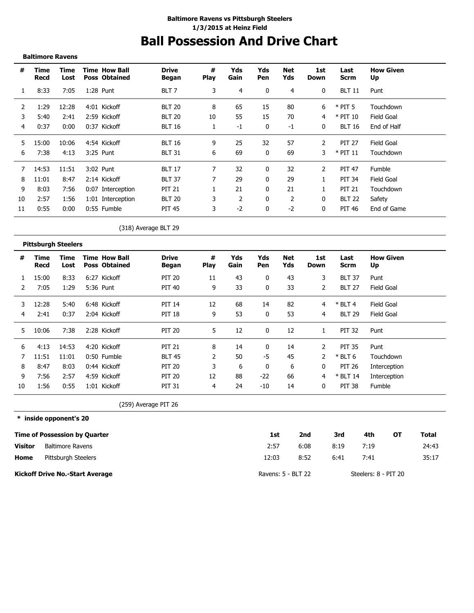## **Ball Possession And Drive Chart Baltimore Ravens vs Pittsburgh Steelers 1/3/2015 at Heinz Field**

**Baltimore Ravens**

| #  | Time<br>Recd | Time<br>Lost | <b>Time How Ball</b><br><b>Poss Obtained</b> | <b>Drive</b><br>Began | #<br><b>Play</b> | Yds<br>Gain | Yds<br>Pen | Net<br>Yds | 1st<br>Down  | Last<br>Scrm  | <b>How Given</b><br>Up |
|----|--------------|--------------|----------------------------------------------|-----------------------|------------------|-------------|------------|------------|--------------|---------------|------------------------|
|    | 8:33         | 7:05         | 1:28 Punt                                    | BLT <sub>7</sub>      | 3                | 4           | 0          | 4          | $\mathbf{0}$ | <b>BLT 11</b> | Punt                   |
| 2  | 1:29         | 12:28        | 4:01 Kickoff                                 | <b>BLT 20</b>         | 8                | 65          | 15         | 80         | 6            | $*$ PIT 5     | Touchdown              |
| 3  | 5:40         | 2:41         | 2:59 Kickoff                                 | <b>BLT 20</b>         | 10               | 55          | 15         | 70         | 4            | $*$ PIT 10    | Field Goal             |
| 4  | 0:37         | 0:00         | 0:37 Kickoff                                 | <b>BLT 16</b>         |                  | -1          | 0          | $-1$       | $\mathbf{0}$ | <b>BLT 16</b> | End of Half            |
| 5. | 15:00        | 10:06        | 4:54 Kickoff                                 | <b>BLT 16</b>         | 9                | 25          | 32         | 57         | 2            | <b>PIT 27</b> | Field Goal             |
| 6  | 7:38         | 4:13         | 3:25 Punt                                    | <b>BLT 31</b>         | 6                | 69          | $\Omega$   | 69         | 3            | $*$ PIT 11    | Touchdown              |
|    | 14:53        | 11:51        | 3:02 Punt                                    | <b>BLT 17</b>         | 7                | 32          | 0          | 32         | 2            | <b>PIT 47</b> | Fumble                 |
| 8  | 11:01        | 8:47         | 2:14 Kickoff                                 | <b>BLT 37</b>         |                  | 29          | 0          | 29         | 1            | <b>PIT 34</b> | Field Goal             |
| 9  | 8:03         | 7:56         | 0:07 Interception                            | <b>PIT 21</b>         |                  | 21          | 0          | 21         |              | <b>PIT 21</b> | Touchdown              |
| 10 | 2:57         | 1:56         | 1:01 Interception                            | <b>BLT 20</b>         |                  | 2           | 0          | 2          | 0            | <b>BLT 22</b> | Safety                 |
| 11 | 0:55         | 0:00         | 0:55 Fumble                                  | <b>PIT 45</b>         | 3.               | $-2$        | 0          | $-2$       | 0            | PIT 46        | End of Game            |

(318) Average BLT 29

|    | <b>Pittsburgh Steelers</b> |              |                                              |                       |                  |             |                   |            |                |               |                        |
|----|----------------------------|--------------|----------------------------------------------|-----------------------|------------------|-------------|-------------------|------------|----------------|---------------|------------------------|
| #  | Time<br>Recd               | Time<br>Lost | <b>Time How Ball</b><br><b>Poss Obtained</b> | <b>Drive</b><br>Began | #<br><b>Play</b> | Yds<br>Gain | Yds<br><b>Pen</b> | Net<br>Yds | 1st<br>Down    | Last<br>Scrm  | <b>How Given</b><br>Up |
|    | 15:00                      | 8:33         | 6:27 Kickoff                                 | <b>PIT 20</b>         | 11               | 43          | 0                 | 43         | 3              | <b>BLT 37</b> | Punt                   |
|    | 7:05                       | 1:29         | 5:36 Punt                                    | <b>PIT 40</b>         | 9                | 33          | 0                 | 33         | $\overline{2}$ | <b>BLT 27</b> | Field Goal             |
| 3  | 12:28                      | 5:40         | 6:48 Kickoff                                 | <b>PIT 14</b>         | 12               | 68          | 14                | 82         | 4              | $*$ BLT 4     | Field Goal             |
| 4  | 2:41                       | 0:37         | 2:04 Kickoff                                 | <b>PIT 18</b>         | 9                | 53          | 0                 | 53         | 4              | <b>BLT 29</b> | Field Goal             |
| 5. | 10:06                      | 7:38         | 2:28 Kickoff                                 | <b>PIT 20</b>         | 5.               | 12          | 0                 | 12         |                | <b>PIT 32</b> | Punt                   |
| 6  | 4:13                       | 14:53        | 4:20 Kickoff                                 | <b>PIT 21</b>         | 8                | 14          |                   | 14         | 2              | <b>PIT 35</b> | Punt                   |
|    | 11:51                      | 11:01        | 0:50 Fumble                                  | <b>BLT 45</b>         |                  | 50          | $-5$              | 45         | 2              | $*$ BLT 6     | Touchdown              |
| 8  | 8:47                       | 8:03         | 0:44 Kickoff                                 | <b>PIT 20</b>         | 3                | 6           | 0                 | 6          | 0              | <b>PIT 26</b> | Interception           |
| 9  | 7:56                       | 2:57         | 4:59 Kickoff                                 | <b>PIT 20</b>         | 12               | 88          | $-22$             | 66         | 4              | $*$ BLT 14    | Interception           |
| 10 | 1:56                       | 0:55         | 1:01 Kickoff                                 | <b>PIT 31</b>         | 4                | 24          | $-10$             | 14         | 0              | <b>PIT 38</b> | Fumble                 |

(259) Average PIT 26

**\* inside opponent's 20**

|                | <b>Time of Possession by Quarter</b>   | 1st                | 2nd  | 3rd  | 4th                  | ΟТ | Total |
|----------------|----------------------------------------|--------------------|------|------|----------------------|----|-------|
| <b>Visitor</b> | <b>Baltimore Ravens</b>                | 2:57               | 6:08 | 8:19 | 7:19                 |    | 24:43 |
| Home           | Pittsburgh Steelers                    | 12:03              | 8:52 | 6:41 | 7:41                 |    | 35:17 |
|                | <b>Kickoff Drive No.-Start Average</b> | Ravens: 5 - BLT 22 |      |      | Steelers: 8 - PIT 20 |    |       |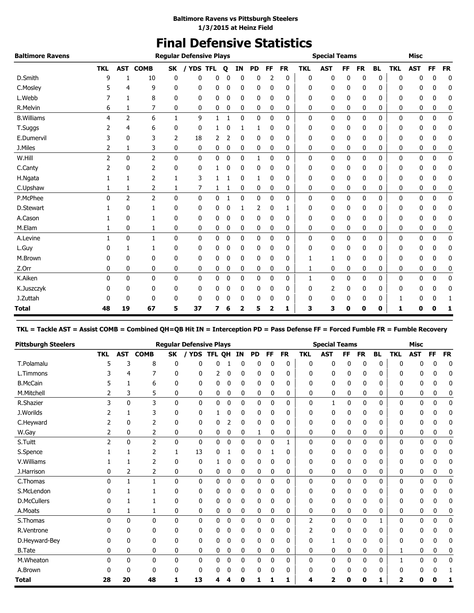# **Final Defensive Statistics**

| <b>Baltimore Ravens</b> |            |                |                |              | <b>Regular Defensive Plays</b> |              |   |              |           |              |           |            | <b>Special Teams</b> |           |           |           |            | <b>Misc</b> |             |             |
|-------------------------|------------|----------------|----------------|--------------|--------------------------------|--------------|---|--------------|-----------|--------------|-----------|------------|----------------------|-----------|-----------|-----------|------------|-------------|-------------|-------------|
|                         | <b>TKL</b> | <b>AST</b>     | <b>COMB</b>    | SK           | <b>YDS TFL</b>                 |              | Q | IN           | <b>PD</b> | FF           | <b>FR</b> | <b>TKL</b> | <b>AST</b>           | <b>FF</b> | <b>FR</b> | <b>BL</b> | <b>TKL</b> | <b>AST</b>  | <b>FF</b>   | <b>FR</b>   |
| D.Smith                 | 9          | ı              | 10             | 0            | 0                              | 0            |   | $\Omega$     | 0         |              | 0         | 0          | 0                    | 0         | 0         | 0         | 0          | 0           | 0           | $\mathbf 0$ |
| C.Mosley                |            | 4              | 9              | 0            | 0                              | 0            | 0 | 0            | 0         | 0            | 0         | 0          | 0                    | 0         | 0         | 0         | 0          | 0           | 0           | 0           |
| L.Webb                  |            | 1              | 8              | 0            | 0                              | 0            | 0 | 0            | 0         | 0            | 0         | 0          | 0                    | 0         | 0         | 0         | 0          | 0           | 0           | 0           |
| R.Melvin                | 6          | 1              | 7              | 0            | 0                              | 0            | 0 | 0            | 0         | 0            | 0         | 0          | 0                    | 0         | 0         | 0         | 0          | 0           | 0           | 0           |
| <b>B.Williams</b>       | 4          | $\overline{2}$ | 6              | $\mathbf{1}$ | 9                              | 1            | 1 | 0            | 0         | $\mathbf 0$  | 0         | 0          | 0                    | 0         | 0         | 0         | 0          | 0           | 0           | $\mathbf 0$ |
| T.Suggs                 |            | 4              | 6              | 0            | 0                              |              | n | 1            | 1         | 0            | 0         | 0          | 0                    | 0         | 0         | 0         | 0          | 0           | 0           | 0           |
| E.Dumervil              | 3          | 0              | 3              | 2            | 18                             | 2            | 2 | 0            | 0         | 0            | 0         | 0          | 0                    | 0         | 0         | 0         | 0          | 0           | 0           | 0           |
| J.Miles                 | 2          | 1              | 3              | 0            | 0                              | 0            | 0 | 0            | 0         | 0            | 0         | 0          | 0                    | 0         | 0         | 0         | 0          | 0           | 0           | 0           |
| W.Hill                  | 2          | $\mathbf{0}$   | $\overline{2}$ | $\mathbf{0}$ | 0                              | $\mathbf{0}$ | 0 | $\mathbf{0}$ | 1         | $\mathbf{0}$ | 0         | 0          | 0                    | 0         | 0         | 0         | 0          | 0           | 0           | 0           |
| C.Canty                 | 2          | 0              | 2              | 0            | 0                              |              | 0 | 0            | 0         | 0            | 0         | 0          | 0                    | 0         | 0         | 0         | 0          | 0           | 0           | 0           |
| H.Ngata                 |            | 1              | $\overline{2}$ | 1            | 3                              |              |   | 0            | 1         | 0            | 0         | 0          | 0                    | 0         | 0         | 0         | 0          | 0           | 0           | 0           |
| C.Upshaw                |            | 1              | 2              | 1            | 7                              | 1            |   | 0            | 0         | 0            | 0         | 0          | 0                    | 0         | 0         | 0         | 0          | 0           | 0           | 0           |
| P.McPhee                | $\Omega$   | $\overline{2}$ | $\overline{2}$ | 0            | 0                              | 0            | 1 | 0            | 0         | 0            | 0         | 0          | 0                    | 0         | 0         | 0         | 0          | 0           | 0           | 0           |
| D.Stewart               |            | 0              |                | 0            | 0                              | 0            | 0 | 1            | 2         | 0            | 1         | 0          | 0                    | 0         | 0         | 0         | 0          | 0           | 0           | 0           |
| A.Cason                 |            | 0              |                | 0            | 0                              | 0            | 0 | 0            | 0         | 0            | 0         | 0          | 0                    | 0         | 0         | 0         | 0          | 0           | 0           | 0           |
| M.Elam                  |            | 0              | 1              | 0            | 0                              | 0            | 0 | 0            | 0         | 0            | 0         | 0          | 0                    | 0         | 0         | 0         | 0          | 0           | 0           | 0           |
| A.Levine                | 1          | $\mathbf{0}$   | 1              | 0            | 0                              | 0            | 0 | 0            | 0         | 0            | 0         | 0          | 0                    | 0         | 0         | 0         | 0          | 0           | $\mathbf 0$ | $\pmb{0}$   |
| L.Guy                   | 0          | 1              | 1              | 0            | 0                              | 0            | 0 | 0            | 0         | 0            | 0         | 0          | 0                    | 0         | 0         | 0         | 0          | 0           | 0           | 0           |
| M.Brown                 | 0          | 0              | 0              | 0            | 0                              | 0            | 0 | 0            | 0         | 0            | 0         | 1          | 1                    | 0         | 0         | 0         | 0          | 0           | 0           | 0           |
| Z.Orr                   | 0          | 0              | 0              | 0            | 0                              | 0            | 0 | 0            | 0         | 0            | 0         | 1          | 0                    | 0         | 0         | 0         | 0          | 0           | 0           | 0           |
| K.Aiken                 | 0          | $\mathbf{0}$   | $\mathbf{0}$   | $\mathbf{0}$ | 0                              | 0            | 0 | 0            | 0         | 0            | 0         | 1          | 0                    | 0         | 0         | 0         | 0          | 0           | 0           | 0           |
| K.Juszczyk              |            | 0              | 0              | 0            | 0                              | 0            | 0 | 0            | 0         | 0            | 0         | 0          | 2                    | 0         | 0         | 0         | 0          | 0           | 0           | 0           |
| J.Zuttah                |            | 0              | 0              | 0            | 0                              | 0            | 0 | 0            | 0         | 0            | 0         | 0          | 0                    | 0         | 0         | 0         |            | 0           | 0           | 1           |
| Total                   | 48         | 19             | 67             | 5            | 37                             | 7            | 6 | 2            | 5         | 2            | 1         | 3          | 3                    | 0         | 0         | 0         | 1          | 0           | 0           | 1           |

**TKL = Tackle AST = Assist COMB = Combined QH=QB Hit IN = Interception PD = Pass Defense FF = Forced Fumble FR = Fumble Recovery**

| <b>Pittsburgh Steelers</b> |               |              |                |           | <b>Regular Defensive Plays</b> |        |             |    |              |           |              |              | <b>Special Teams</b> |              |              |              |            | <b>Misc</b>  |              |             |
|----------------------------|---------------|--------------|----------------|-----------|--------------------------------|--------|-------------|----|--------------|-----------|--------------|--------------|----------------------|--------------|--------------|--------------|------------|--------------|--------------|-------------|
|                            | <b>TKL</b>    | <b>AST</b>   | <b>COMB</b>    | <b>SK</b> | <b>YDS</b>                     | TFL OH |             | IN | <b>PD</b>    | <b>FF</b> | <b>FR</b>    | <b>TKL</b>   | <b>AST</b>           | FF           | <b>FR</b>    | <b>BL</b>    | <b>TKL</b> | <b>AST</b>   | <b>FF</b>    | <b>FR</b>   |
| T.Polamalu                 | 5             | 3            | 8              | 0         | 0                              | U      |             | 0  | 0            | 0         | 0            | 0            | 0                    | 0            | 0            | 0            | 0          | 0            | 0            | $\mathbf 0$ |
| L.Timmons                  |               | 4            | 7              | 0         | 0                              | 2      | 0           | 0  | 0            | 0         | 0            | 0            | 0                    | 0            | 0            | 0            | 0          | 0            | 0            | 0           |
| <b>B.McCain</b>            |               |              | 6              | 0         | 0                              | 0      | 0           | 0  | 0            | 0         | 0            | 0            | 0                    | 0            | 0            | 0            | 0          | 0            | 0            | 0           |
| M.Mitchell                 | 2             | 3            | 5              | 0         | 0                              | 0      | 0           | 0  | 0            | 0         | 0            | 0            | 0                    | 0            | 0            | 0            | 0          | 0            | 0            | 0           |
| R.Shazier                  | 3             | $\mathbf{0}$ | 3              | 0         | $\mathbf{0}$                   | 0      | 0           | 0  | 0            | 0         | 0            | 0            | $\mathbf{1}$         | 0            | 0            | $\mathbf{0}$ | 0          | $\mathbf{0}$ | 0            | $\mathbf 0$ |
| J.Worilds                  | 2             |              | 3              | 0         | 0                              |        | 0           | 0  | 0            | 0         | 0            | 0            | 0                    | 0            | 0            | 0            | 0          | 0            | 0            | 0           |
| C.Heyward                  |               | $\Omega$     | 2              | 0         | 0                              | 0      | 2           | 0  | 0            | 0         | 0            | 0            | 0                    | 0            | 0            | 0            | 0          | 0            | 0            | 0           |
| W.Gay                      | 2             | 0            | 2              | 0         | 0                              | 0      | 0           | 0  | 1            | 0         | 0            | 0            | 0                    | 0            | 0            | 0            | 0          | 0            | 0            | 0           |
| S.Tuitt                    | $\mathcal{P}$ | $\mathbf{0}$ | $\overline{2}$ | 0         | $\mathbf{0}$                   | 0      | 0           | 0  | 0            | 0         | $\mathbf{1}$ | 0            | 0                    | 0            | $\mathbf{0}$ | 0            | 0          | 0            | 0            | $\pmb{0}$   |
| S.Spence                   |               |              | 2              | 1         | 13                             | 0      |             | 0  | 0            |           | 0            | 0            | 0                    | 0            | 0            | 0            | 0          | 0            | n            | 0           |
| V.Williams                 |               | 1            | 2              | 0         | 0                              |        | 0           | 0  | 0            | 0         | 0            | 0            | 0                    | 0            | 0            | 0            | 0          | 0            | 0            | 0           |
| J.Harrison                 | 0             | 2            | 2              | 0         | 0                              | 0      | 0           | 0  | 0            | 0         | 0            | 0            | 0                    | 0            | 0            | 0            | 0          | 0            | 0            | 0           |
| C.Thomas                   | 0             | 1            | 1              | 0         | $\mathbf{0}$                   | 0      | 0           | 0  | $\mathbf{0}$ | 0         | 0            | $\mathbf{0}$ | 0                    | $\mathbf{0}$ | 0            | $\mathbf{0}$ | 0          | $\mathbf{0}$ | $\mathbf{0}$ | $\mathbf 0$ |
| S.McLendon                 | 0             |              |                | 0         | 0                              | 0      | 0           | 0  | 0            | 0         | 0            | 0            | 0                    | 0            | 0            | 0            | 0          | 0            | n            | 0           |
| <b>D.McCullers</b>         | n             |              |                | 0         | 0                              | 0      | 0           | 0  | 0            | 0         | 0            | 0            | 0                    | 0            | 0            | 0            | 0          | 0            | 0            | 0           |
| A.Moats                    | 0             | 1            | 1              | 0         | 0                              | 0      | 0           | 0  | 0            | 0         | 0            | 0            | 0                    | 0            | 0            | 0            | 0          | 0            | 0            | 0           |
| S. Thomas                  | $\mathbf{0}$  | $\mathbf{0}$ | 0              | 0         | 0                              | 0      | $\mathbf 0$ | 0  | 0            | 0         | 0            | 2            | 0                    | 0            | $\mathbf{0}$ | 1            | 0          | 0            | 0            | $\mathbf 0$ |
| R.Ventrone                 | 0             | 0            | 0              | 0         | 0                              | 0      | 0           | 0  | 0            | 0         | 0            | 2            | 0                    | 0            | 0            | 0            | 0          | 0            | 0            | 0           |
| D.Heyward-Bey              | 0             | 0            | 0              | 0         | 0                              | 0      | 0           | 0  | 0            | 0         | 0            | 0            | 1                    | 0            | 0            | 0            | 0          | 0            | 0            | 0           |
| <b>B.Tate</b>              | 0             | 0            | 0              | 0         | 0                              | 0      | 0           | 0  | 0            | 0         | 0            | 0            | 0                    | 0            | 0            | 0            | 1          | 0            | 0            | 0           |
| M.Wheaton                  | 0             | $\mathbf{0}$ | 0              | 0         | 0                              | 0      | 0           | 0  | 0            | 0         | 0            | 0            | 0                    | 0            | 0            | 0            | 1          | 0            | 0            | 0           |
| A.Brown                    | 0             | 0            | 0              | 0         | 0                              | 0      | 0           | 0  | 0            | 0         | 0            | 0            | 0                    | 0            | 0            | 0            | 0          | 0            | 0            | 1           |
| <b>Total</b>               | 28            | 20           | 48             | 1         | 13                             | 4      |             | ŋ  | ٦            | 1         | 1            | 4            | 2                    | 0            | 0            | 1            | 2          | 0            | Ω            | п           |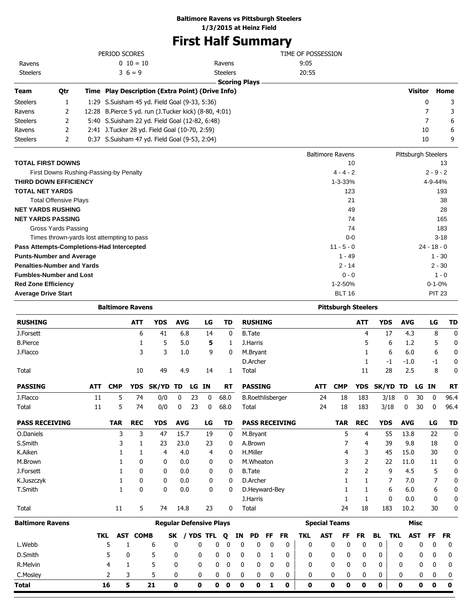#### **Baltimore Ravens vs Pittsburgh Steelers**

**1/3/2015 at Heinz Field**

# **First Half Summary**

|                                                                      |                                                              |     | PERIOD SCORES           |                 |                                                       |            |    |                  |                           |    |                         |    |                       | TIME OF POSSESSION |            |                            |            |                    |      |                     |                |               |           |
|----------------------------------------------------------------------|--------------------------------------------------------------|-----|-------------------------|-----------------|-------------------------------------------------------|------------|----|------------------|---------------------------|----|-------------------------|----|-----------------------|--------------------|------------|----------------------------|------------|--------------------|------|---------------------|----------------|---------------|-----------|
| Ravens                                                               |                                                              |     |                         | $0\;10=10$      |                                                       |            |    |                  | Ravens                    |    |                         |    |                       | 9:05               |            |                            |            |                    |      |                     |                |               |           |
| <b>Steelers</b>                                                      |                                                              |     | $3\; 6 = 9$             |                 |                                                       |            |    |                  | <b>Steelers</b>           |    |                         |    |                       | 20:55              |            |                            |            |                    |      |                     |                |               |           |
|                                                                      |                                                              |     |                         |                 |                                                       |            |    |                  | <b>Scoring Plays</b>      |    |                         |    |                       |                    |            |                            |            |                    |      |                     |                |               |           |
| Qtr<br>Team                                                          |                                                              |     |                         |                 | Time Play Description (Extra Point) (Drive Info)      |            |    |                  |                           |    |                         |    |                       |                    |            |                            |            |                    |      |                     | <b>Visitor</b> |               | Home      |
| Steelers<br>1                                                        |                                                              |     |                         |                 | 1:29 S.Suisham 45 yd. Field Goal (9-33, 5:36)         |            |    |                  |                           |    |                         |    |                       |                    |            |                            |            |                    |      |                     | 0              |               | 3         |
| Ravens                                                               | 2                                                            |     |                         |                 | 12:28 B.Pierce 5 yd. run (J.Tucker kick) (8-80, 4:01) |            |    |                  |                           |    |                         |    |                       |                    |            |                            |            |                    |      |                     | 7<br>7         |               | 3         |
| Steelers                                                             | 2                                                            |     |                         |                 | 5:40 S.Suisham 22 yd. Field Goal (12-82, 6:48)        |            |    |                  |                           |    |                         |    |                       |                    |            |                            |            |                    |      |                     |                |               | 6         |
| Ravens                                                               | 2                                                            |     |                         |                 | 2:41 J.Tucker 28 yd. Field Goal (10-70, 2:59)         |            |    |                  |                           |    |                         |    |                       |                    |            |                            |            |                    |      |                     | 10<br>10       |               | 6<br>9    |
| Steelers                                                             | 2                                                            |     |                         |                 | 0:37 S.Suisham 47 yd. Field Goal (9-53, 2:04)         |            |    |                  |                           |    |                         |    |                       |                    |            |                            |            |                    |      |                     |                |               |           |
|                                                                      |                                                              |     |                         |                 |                                                       |            |    |                  |                           |    |                         |    |                       |                    |            | <b>Baltimore Ravens</b>    |            |                    |      | Pittsburgh Steelers |                |               |           |
| <b>TOTAL FIRST DOWNS</b>                                             |                                                              |     |                         |                 |                                                       |            |    |                  |                           |    |                         |    |                       |                    |            |                            | 10         |                    |      |                     |                |               | 13        |
| First Downs Rushing-Passing-by Penalty                               |                                                              |     |                         |                 |                                                       |            |    |                  |                           |    |                         |    |                       |                    |            | $4 - 4 - 2$                |            |                    |      |                     |                | $2 - 9 - 2$   |           |
| THIRD DOWN EFFICIENCY                                                |                                                              |     |                         |                 |                                                       |            |    |                  |                           |    |                         |    |                       |                    |            | $1 - 3 - 33%$              |            |                    |      |                     |                | 4-9-44%       |           |
| TOTAL NET YARDS                                                      |                                                              |     |                         |                 |                                                       |            |    |                  |                           |    |                         |    |                       |                    |            | 123                        |            |                    |      |                     |                |               | 193       |
| <b>Total Offensive Plays</b>                                         |                                                              |     |                         |                 |                                                       |            |    |                  |                           |    |                         |    |                       |                    |            | 21                         |            |                    |      |                     |                |               | 38        |
| NET YARDS RUSHING                                                    |                                                              |     |                         |                 |                                                       |            |    |                  |                           |    |                         |    |                       |                    |            |                            | 49         |                    |      |                     |                |               | 28        |
| NET YARDS PASSING                                                    |                                                              |     |                         |                 |                                                       |            |    |                  |                           |    |                         |    |                       |                    |            | 74                         |            |                    |      |                     |                |               | 165       |
| Gross Yards Passing                                                  |                                                              |     |                         |                 |                                                       |            |    |                  |                           |    |                         |    |                       |                    |            | 74                         |            |                    |      |                     |                |               | 183       |
| Times thrown-yards lost attempting to pass                           |                                                              |     |                         |                 |                                                       |            |    |                  |                           |    |                         |    |                       |                    |            | $0 - 0$                    |            |                    |      |                     |                |               | $3 - 18$  |
| Pass Attempts-Completions-Had Intercepted                            |                                                              |     |                         |                 |                                                       |            |    |                  |                           |    |                         |    |                       |                    |            | $11 - 5 - 0$               |            |                    |      |                     |                | $24 - 18 - 0$ |           |
| <b>Punts-Number and Average</b><br><b>Penalties-Number and Yards</b> |                                                              |     |                         |                 |                                                       |            |    |                  |                           |    |                         |    |                       |                    |            | 1 - 49<br>$2 - 14$         |            |                    |      |                     |                | $1 - 30$      |           |
|                                                                      |                                                              |     |                         |                 |                                                       |            |    |                  |                           |    |                         |    |                       |                    |            | $0 - 0$                    |            |                    |      |                     |                | $2 - 30$      | $1 - 0$   |
|                                                                      | <b>Fumbles-Number and Lost</b><br><b>Red Zone Efficiency</b> |     |                         |                 |                                                       |            |    |                  |                           |    |                         |    |                       | 1-2-50%            |            |                            |            |                    |      | $0 - 1 - 0%$        |                |               |           |
| <b>Average Drive Start</b>                                           |                                                              |     |                         |                 |                                                       |            |    |                  |                           |    |                         |    |                       |                    |            | <b>BLT 16</b>              |            |                    |      |                     |                | <b>PIT 23</b> |           |
|                                                                      |                                                              |     |                         |                 |                                                       |            |    |                  |                           |    |                         |    |                       |                    |            |                            |            |                    |      |                     |                |               |           |
|                                                                      |                                                              |     | <b>Baltimore Ravens</b> |                 |                                                       |            |    |                  |                           |    |                         |    |                       |                    |            | <b>Pittsburgh Steelers</b> |            |                    |      |                     |                |               |           |
| <b>RUSHING</b>                                                       |                                                              |     |                         | <b>ATT</b>      | <b>YDS</b>                                            | <b>AVG</b> |    | LG               | TD                        |    | <b>RUSHING</b>          |    |                       |                    |            |                            | ATT        | <b>YDS</b>         |      | <b>AVG</b>          |                | LG            | TD        |
| J.Forsett                                                            |                                                              |     |                         | 6               | 41                                                    | 6.8        |    | 14               | 0                         |    | <b>B.Tate</b>           |    |                       |                    |            |                            | 4          |                    | 17   | 4.3                 |                | 8             | 0         |
| <b>B.Pierce</b>                                                      |                                                              |     |                         | 1               | 5                                                     | 5.0        |    | 5                | 1                         |    | J.Harris                |    |                       |                    |            |                            | 5          |                    | 6    | 1.2                 |                | 5             | 0         |
| J.Flacco                                                             |                                                              |     |                         | 3               | 3                                                     | 1.0        |    | 9                | 0                         |    | M.Bryant                |    |                       |                    |            |                            | 1          |                    | 6    | 6.0                 |                | 6             | 0         |
|                                                                      |                                                              |     |                         |                 |                                                       |            |    |                  |                           |    | D.Archer                |    |                       |                    |            |                            | 1          |                    | -1   | $-1.0$              |                | -1            | 0         |
| Total                                                                |                                                              |     |                         | 10              | 49                                                    | 4.9        |    | 14               | 1                         |    | Total                   |    |                       |                    |            |                            | 11         |                    | 28   | 2.5                 |                | 8             | 0         |
| <b>PASSING</b>                                                       | <b>ATT</b>                                                   |     | <b>CMP</b>              |                 | YDS SK/YD TD LG IN                                    |            |    |                  | RT                        |    | <b>PASSING</b>          |    |                       |                    | ATT        | <b>CMP</b>                 |            | YDS SK/YD TD LG IN |      |                     |                |               | <b>RT</b> |
| J.Flacco                                                             | 11                                                           |     | 5                       | 74              | 0/0                                                   | 0          | 23 | $\boldsymbol{0}$ | 68.0                      |    | <b>B.Roethlisberger</b> |    |                       |                    | 24         | 18                         | 183        |                    | 3/18 | $\boldsymbol{0}$    | 30             | $\mathbf{0}$  | 96.4      |
| Total                                                                | $11\,$                                                       |     | 5                       | 74              | 0/0                                                   | 0          | 23 | 0                | 68.0                      |    | Total                   |    |                       |                    | 24         | 18                         | 183        |                    | 3/18 | 0                   | 30             | 0             | 96.4      |
| <b>PASS RECEIVING</b>                                                |                                                              |     | <b>TAR</b>              | <b>REC</b>      | <b>YDS</b>                                            | <b>AVG</b> |    | LG               | TD                        |    |                         |    | <b>PASS RECEIVING</b> |                    |            | <b>TAR</b>                 | <b>REC</b> | <b>YDS</b>         |      | <b>AVG</b>          |                | LG            | TD        |
| O.Daniels                                                            |                                                              |     | 3                       | 3               | 47                                                    | 15.7       |    | 19               | 0                         |    | M.Bryant                |    |                       |                    |            | 5                          | 4          |                    | 55   | 13.8                |                | 22            | 0         |
| S.Smith                                                              |                                                              |     | 3                       | 1               | 23                                                    | 23.0       |    | 23               | 0                         |    | A.Brown                 |    |                       |                    |            | 7                          | 4          |                    | 39   | 9.8                 |                | 18            | 0         |
| K.Aiken                                                              |                                                              |     | 1                       | 1               | 4                                                     | 4.0        |    | 4                | 0                         |    | H.Miller                |    |                       |                    |            | 4                          | 3          |                    | 45   | 15.0                |                | 30            | 0         |
| M.Brown                                                              |                                                              |     | 1                       | 0               | 0                                                     | 0.0        |    | 0                | 0                         |    | M.Wheaton               |    |                       |                    |            | 3                          | 2          |                    | 22   | 11.0                |                | 11            | 0         |
| J.Forsett                                                            |                                                              |     | 1                       | 0               | 0                                                     | 0.0        |    | 0                | 0                         |    | <b>B.Tate</b>           |    |                       |                    |            | 2                          | 2          |                    | 9    | 4.5                 |                | 5             | 0         |
| K.Juszczyk                                                           |                                                              |     | 1                       | 0               | 0                                                     | 0.0        |    | 0                | 0                         |    | D.Archer                |    |                       |                    |            | 1                          | 1          |                    | 7    | 7.0                 |                | 7             | 0         |
| T.Smith                                                              |                                                              |     | 1                       | 0               | 0                                                     | 0.0        |    | 0                | 0                         |    | D.Heyward-Bey           |    |                       |                    |            | 1                          | 1          |                    | 6    | 6.0                 |                | 6             | 0         |
|                                                                      |                                                              |     |                         |                 |                                                       |            |    |                  |                           |    | J.Harris                |    |                       |                    |            | 1                          | 1          |                    | 0    | 0.0                 |                | 0             | 0         |
| Total                                                                |                                                              |     | 11                      | 5               | 74                                                    | 14.8       |    | 23               | 0                         |    | Total                   |    |                       |                    |            | 24                         | 18         | 183                |      | 10.2                |                | 30            | 0         |
| <b>Baltimore Ravens</b>                                              |                                                              |     |                         |                 | <b>Regular Defensive Plays</b>                        |            |    |                  |                           |    |                         |    |                       |                    |            | <b>Special Teams</b>       |            |                    |      | <b>Misc</b>         |                |               |           |
|                                                                      |                                                              | TKL |                         | <b>AST COMB</b> |                                                       |            |    | SK / YDS TFL     | Q                         | ΙN | <b>PD</b>               | FF | <b>FR</b>             | TKL                | <b>AST</b> | FF                         | FR         | BL                 | TKL  | <b>AST</b>          |                | FF            | FR        |
| L.Webb                                                               |                                                              | 5   | 1                       |                 | 6                                                     | 0          | 0  | 0                | 0                         | 0  | 0                       | 0  | 0                     | 0                  |            | 0<br>0                     | 0          | 0                  | 0    |                     | 0              | 0             | 0         |
| D.Smith                                                              |                                                              | 5   | 0                       |                 | 5                                                     | 0          | 0  | 0                | 0                         | 0  | 0                       | 1  | 0                     | 0                  |            | 0<br>0                     | 0          | 0                  | 0    |                     | 0              | 0             | 0         |
| R.Melvin                                                             |                                                              | 4   | 1                       |                 | 5                                                     | 0          | 0  | 0                | 0                         | 0  | 0                       | 0  | 0                     | 0                  |            | 0<br>0                     | 0          | 0                  | 0    |                     | 0              | 0             | 0         |
| C.Mosley                                                             |                                                              | 2   | 3                       |                 | 5                                                     | 0          | 0  |                  | $\pmb{0}$<br>$\mathbf{0}$ | 0  | 0                       | 0  | 0                     | 0                  |            | 0<br>0                     | 0          | 0                  |      | 0                   | 0              | 0             | 0         |

**Total 16 5 21 0 0 0 0 0 0 1 0 0 0 0 0 0 0 0 0 0**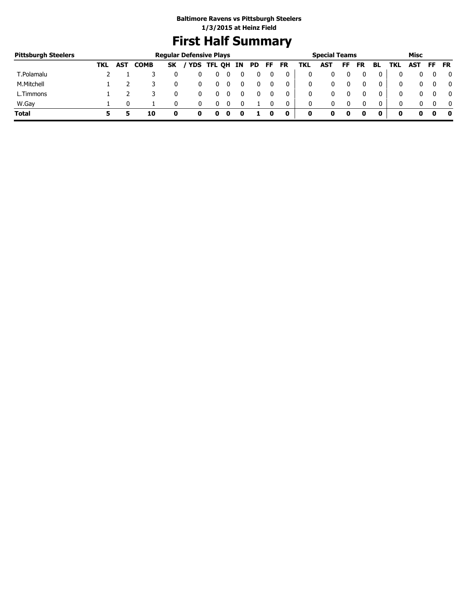# **First Half Summary**

| <b>Pittsburgh Steelers</b> |     |            |             |           | <b>Regular Defensive Plays</b> |   |   |    |     |     |           |     | <b>Special Teams</b> |    |           |    |     | Misc       |     |           |
|----------------------------|-----|------------|-------------|-----------|--------------------------------|---|---|----|-----|-----|-----------|-----|----------------------|----|-----------|----|-----|------------|-----|-----------|
|                            | TKL | <b>AST</b> | <b>COMB</b> | <b>SK</b> | / YDS TFL QH                   |   |   | IN | PD. | FF. | <b>FR</b> | TKL | <b>AST</b>           | FF | <b>FR</b> | BL | TKL | <b>AST</b> | FF. | <b>FR</b> |
| T.Polamalu                 |     |            |             |           |                                |   |   |    |     |     | 0         | 0   |                      |    |           | 0  |     |            |     | 0         |
| M.Mitchell                 |     |            |             |           | Ü                              | υ |   |    |     | 0   | 0         | 0   |                      |    |           | 0  |     |            |     | 0         |
| L.Timmons                  |     |            |             |           |                                |   |   |    |     |     | 0         | 0   |                      |    |           | 0  |     |            |     | 0         |
| W.Gay                      |     |            |             |           |                                |   |   |    |     |     | 0         | 0   | 0                    |    |           | 0  |     |            |     | $\Omega$  |
| <b>Total</b>               |     |            | 10          |           | o                              | o | u | u  |     |     | 0         | 0   | o                    | o  |           |    | o   | o          |     | 0         |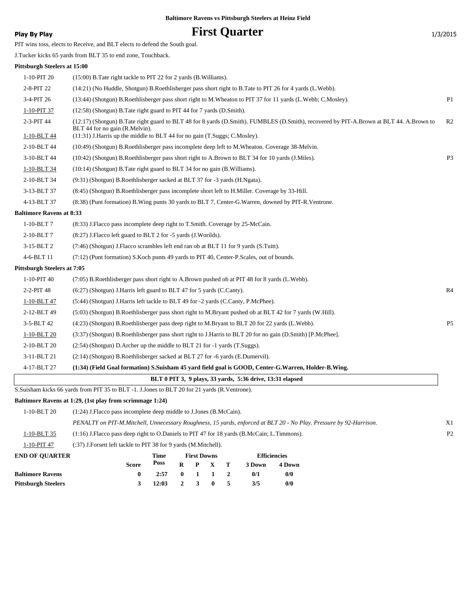# **Play By Play Play Play Play Play By Play First Quarter** 1/3/2015

PIT wins toss, elects to Receive, and BLT elects to defend the South goal.

J.Tucker kicks 65 yards from BLT 35 to end zone, Touchback.

#### **Pittsburgh Steelers at 15:00**

| 1-10-PIT 20                     | (15:00) B. Tate right tackle to PIT 22 for 2 yards (B. Williams).                                                                                                         |                |
|---------------------------------|---------------------------------------------------------------------------------------------------------------------------------------------------------------------------|----------------|
| 2-8-PIT 22                      | (14:21) (No Huddle, Shotgun) B.Roethlisberger pass short right to B.Tate to PIT 26 for 4 yards (L.Webb).                                                                  |                |
| 3-4-PIT 26                      | (13:44) (Shotgun) B.Roethlisberger pass short right to M.Wheaton to PIT 37 for 11 yards (L.Webb; C.Mosley).                                                               | P <sub>1</sub> |
| 1-10-PIT 37                     | (12:58) (Shotgun) B. Tate right guard to PIT 44 for 7 yards (D. Smith).                                                                                                   |                |
| 2-3-PIT 44                      | (12:17) (Shotgun) B.Tate right guard to BLT 48 for 8 yards (D.Smith). FUMBLES (D.Smith), recovered by PIT-A.Brown at BLT 44. A.Brown to<br>BLT 44 for no gain (R.Melvin). | R <sub>2</sub> |
| 1-10-BLT 44                     | (11:31) J. Harris up the middle to BLT 44 for no gain (T. Suggs; C. Mosley).                                                                                              |                |
| 2-10-BLT 44                     | (10:49) (Shotgun) B.Roethlisberger pass incomplete deep left to M.Wheaton. Coverage 38-Melvin.                                                                            |                |
| 3-10-BLT 44                     | (10:42) (Shotgun) B.Roethlisberger pass short right to A.Brown to BLT 34 for 10 yards (J.Miles).                                                                          | P <sub>3</sub> |
| 1-10-BLT 34                     | (10:14) (Shotgun) B. Tate right guard to BLT 34 for no gain (B. Williams).                                                                                                |                |
| 2-10-BLT 34                     | (9:31) (Shotgun) B.Roethlisberger sacked at BLT 37 for -3 yards (H.Ngata).                                                                                                |                |
| 3-13-BLT 37                     | (8:45) (Shotgun) B.Roethlisberger pass incomplete short left to H.Miller. Coverage by 33-Hill.                                                                            |                |
| 4-13-BLT 37                     | (8:38) (Punt formation) B. Wing punts 30 yards to BLT 7, Center-G. Warren, downed by PIT-R. Ventrone.                                                                     |                |
| <b>Baltimore Ravens at 8:33</b> |                                                                                                                                                                           |                |
| 1-10-BLT7                       | (8:33) J. Flacco pass incomplete deep right to T. Smith. Coverage by 25-McCain.                                                                                           |                |
| 2-10-BLT7                       | (8:27) J. Flacco left guard to BLT 2 for -5 yards (J. Worilds).                                                                                                           |                |
| 3-15-BLT 2                      | (7:46) (Shotgun) J.Flacco scrambles left end ran ob at BLT 11 for 9 yards (S.Tuitt).                                                                                      |                |
| 4-6-BLT 11                      | (7:12) (Punt formation) S.Koch punts 49 yards to PIT 40, Center-P.Scales, out of bounds.                                                                                  |                |
| Pittsburgh Steelers at 7:05     |                                                                                                                                                                           |                |
| 1-10-PIT 40                     | (7:05) B. Roethlisberger pass short right to A. Brown pushed ob at PIT 48 for 8 yards (L. Webb).                                                                          |                |
| 2-2-PIT 48                      | (6:27) (Shotgun) J. Harris left guard to BLT 47 for 5 yards (C.Canty).                                                                                                    | R4             |
| 1-10-BLT 47                     | (5:44) (Shotgun) J.Harris left tackle to BLT 49 for -2 yards (C.Canty, P.McPhee).                                                                                         |                |
| 2-12-BLT 49                     | (5:03) (Shotgun) B.Roethlisberger pass short right to M.Bryant pushed ob at BLT 42 for 7 yards (W.Hill).                                                                  |                |
| 3-5-BLT 42                      | (4:23) (Shotgun) B.Roethlisberger pass deep right to M.Bryant to BLT 20 for 22 yards (L.Webb).                                                                            | P <sub>5</sub> |
| 1-10-BLT 20                     | (3:37) (Shotgun) B.Roethlisberger pass short right to J.Harris to BLT 20 for no gain (D.Smith) [P.McPhee].                                                                |                |
| 2-10-BLT 20                     | (2:54) (Shotgun) D.Archer up the middle to BLT 21 for -1 yards (T.Suggs).                                                                                                 |                |
| 3-11-BLT 21                     | (2.14) (Shotgun) B.Roethlisberger sacked at BLT 27 for -6 yards (E.Dumervil).                                                                                             |                |
| 4-17-BLT 27                     | (1:34) (Field Goal formation) S.Suisham 45 yard field goal is GOOD, Center-G.Warren, Holder-B.Wing.                                                                       |                |
|                                 | BLT 0 PIT 3, 9 plays, 33 yards, 5:36 drive, 13:31 elapsed                                                                                                                 |                |
|                                 | S. Suisham kicks 66 yards from PIT 35 to BLT -1. J. Jones to BLT 20 for 21 yards (R. Ventrone).                                                                           |                |

#### **Baltimore Ravens at 1:29, (1st play from scrimmage 1:24)**

| $1-10-BLT20$            | $(1:24)$ J. Flacco pass incomplete deep middle to J. Jones $(B.McCain)$ .                                          |             |   |   |                    |   |        |                     |                |  |
|-------------------------|--------------------------------------------------------------------------------------------------------------------|-------------|---|---|--------------------|---|--------|---------------------|----------------|--|
|                         | PENALTY on PIT-M.Mitchell, Unnecessary Roughness, 15 yards, enforced at BLT 20 - No Play. Pressure by 92-Harrison. |             |   |   |                    |   |        |                     | X1             |  |
| 1-10-BLT 35             | $(1:16)$ J. Flacco pass deep right to O. Daniels to PIT 47 for 18 yards (B. McCain; L. Timmons).                   |             |   |   |                    |   |        |                     | P <sub>2</sub> |  |
| 1-10-PIT 47             | (:37) J.Forsett left tackle to PIT 38 for 9 yards (M.Mitchell).                                                    |             |   |   |                    |   |        |                     |                |  |
| <b>END OF OUARTER</b>   |                                                                                                                    | <b>Time</b> |   |   | <b>First Downs</b> |   |        | <b>Efficiencies</b> |                |  |
|                         | <b>Score</b>                                                                                                       | <b>Poss</b> | R | P |                    | т | 3 Down | 4 Down              |                |  |
| <b>Baltimore Ravens</b> | 0                                                                                                                  | 2:57        | 0 |   |                    |   | 0/1    | 0/0                 |                |  |

| Pittsburgh Steelers | 3 12:03 2 3 0 5 3/5 |  |  | 0/0 |
|---------------------|---------------------|--|--|-----|
|                     |                     |  |  |     |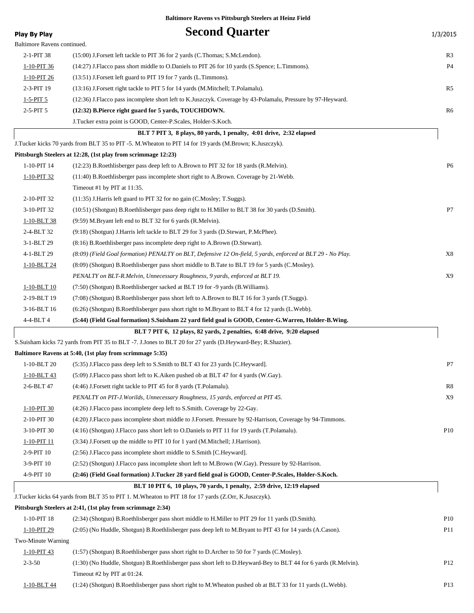| Play By Play                | <b>Second Quarter</b>                                                                                           | 1/3/2015        |
|-----------------------------|-----------------------------------------------------------------------------------------------------------------|-----------------|
| Baltimore Ravens continued. |                                                                                                                 |                 |
| 2-1-PIT 38                  | (15:00) J.Forsett left tackle to PIT 36 for 2 yards (C.Thomas; S.McLendon).                                     | R <sub>3</sub>  |
| 1-10-PIT 36                 | (14:27) J.Flacco pass short middle to O.Daniels to PIT 26 for 10 yards (S.Spence; L.Timmons).                   | P4              |
| 1-10-PIT 26                 | (13:51) J. Forsett left guard to PIT 19 for 7 yards (L. Timmons).                                               |                 |
| 2-3-PIT 19                  | (13:16) J.Forsett right tackle to PIT 5 for 14 yards (M.Mitchell; T.Polamalu).                                  | R <sub>5</sub>  |
| 1-5-PIT 5                   | (12:36) J.Flacco pass incomplete short left to K.Juszczyk. Coverage by 43-Polamalu, Pressure by 97-Heyward.     |                 |
| 2-5-PIT 5                   | (12:32) B.Pierce right guard for 5 yards, TOUCHDOWN.                                                            | R <sub>6</sub>  |
|                             | J.Tucker extra point is GOOD, Center-P.Scales, Holder-S.Koch.                                                   |                 |
|                             | BLT 7 PIT 3, 8 plays, 80 yards, 1 penalty, 4:01 drive, 2:32 elapsed                                             |                 |
|                             | J.Tucker kicks 70 yards from BLT 35 to PIT -5. M.Wheaton to PIT 14 for 19 yards (M.Brown; K.Juszczyk).          |                 |
|                             | Pittsburgh Steelers at 12:28, (1st play from scrimmage 12:23)                                                   |                 |
| 1-10-PIT 14                 | (12:23) B.Roethlisberger pass deep left to A.Brown to PIT 32 for 18 yards (R.Melvin).                           | P <sub>6</sub>  |
| 1-10-PIT 32                 | (11:40) B. Roethlisberger pass incomplete short right to A. Brown. Coverage by 21-Webb.                         |                 |
|                             | Timeout #1 by PIT at 11:35.                                                                                     |                 |
| 2-10-PIT 32                 | (11:35) J. Harris left guard to PIT 32 for no gain (C. Mosley; T. Suggs).                                       |                 |
| 3-10-PIT 32                 | (10:51) (Shotgun) B.Roethlisberger pass deep right to H.Miller to BLT 38 for 30 yards (D.Smith).                | P7              |
| 1-10-BLT 38                 | (9:59) M.Bryant left end to BLT 32 for 6 yards (R.Melvin).                                                      |                 |
| 2-4-BLT 32                  | (9.18) (Shotgun) J.Harris left tackle to BLT 29 for 3 yards (D.Stewart, P.McPhee).                              |                 |
| 3-1-BLT 29                  | (8:16) B.Roethlisberger pass incomplete deep right to A.Brown (D.Stewart).                                      |                 |
| 4-1-BLT 29                  | (8:09) (Field Goal formation) PENALTY on BLT, Defensive 12 On-field, 5 yards, enforced at BLT 29 - No Play.     | X8              |
| 1-10-BLT 24                 | (8:09) (Shotgun) B.Roethlisberger pass short middle to B.Tate to BLT 19 for 5 yards (C.Mosley).                 |                 |
|                             | PENALTY on BLT-R.Melvin, Unnecessary Roughness, 9 yards, enforced at BLT 19.                                    | X9              |
| 1-10-BLT 10                 | (7:50) (Shotgun) B.Roethlisberger sacked at BLT 19 for -9 yards (B.Williams).                                   |                 |
| 2-19-BLT 19                 | (7:08) (Shotgun) B.Roethlisberger pass short left to A.Brown to BLT 16 for 3 yards (T.Suggs).                   |                 |
| 3-16-BLT 16                 | (6:26) (Shotgun) B.Roethlisberger pass short right to M.Bryant to BLT 4 for 12 yards (L.Webb).                  |                 |
| 4-4-BLT 4                   | (5:44) (Field Goal formation) S.Suisham 22 yard field goal is GOOD, Center-G.Warren, Holder-B.Wing.             |                 |
|                             | BLT 7 PIT 6, 12 plays, 82 yards, 2 penalties, 6:48 drive, 9:20 elapsed                                          |                 |
|                             | S.Suisham kicks 72 yards from PIT 35 to BLT -7. J.Jones to BLT 20 for 27 yards (D.Heyward-Bey; R.Shazier).      |                 |
|                             | Baltimore Ravens at 5:40, (1st play from scrimmage 5:35)                                                        |                 |
| 1-10-BLT 20                 | (5:35) J. Flacco pass deep left to S. Smith to BLT 43 for 23 yards [C. Heyward].                                | P7              |
| <u>1-10-BLT 43</u>          | (5:09) J.Flacco pass short left to K.Aiken pushed ob at BLT 47 for 4 yards (W.Gay).                             |                 |
| 2-6-BLT 47                  | (4:46) J.Forsett right tackle to PIT 45 for 8 yards (T.Polamalu).                                               | R8              |
|                             | PENALTY on PIT-J.Worilds, Unnecessary Roughness, 15 yards, enforced at PIT 45.                                  | X9              |
| 1-10-PIT 30                 | (4:26) J. Flacco pass incomplete deep left to S. Smith. Coverage by 22-Gay.                                     |                 |
| 2-10-PIT 30                 | (4:20) J.Flacco pass incomplete short middle to J.Forsett. Pressure by 92-Harrison, Coverage by 94-Timmons.     |                 |
| 3-10-PIT 30                 | (4:16) (Shotgun) J. Flacco pass short left to O. Daniels to PIT 11 for 19 yards (T. Polamalu).                  | P10             |
| 1-10-PIT 11                 | (3:34) J. Forsett up the middle to PIT 10 for 1 yard (M. Mitchell; J. Harrison).                                |                 |
| 2-9-PIT 10                  | (2:56) J.Flacco pass incomplete short middle to S.Smith [C.Heyward].                                            |                 |
| 3-9-PIT 10                  | (2:52) (Shotgun) J. Flacco pass incomplete short left to M. Brown (W. Gay). Pressure by 92-Harrison.            |                 |
| 4-9-PIT 10                  | (2:46) (Field Goal formation) J.Tucker 28 yard field goal is GOOD, Center-P.Scales, Holder-S.Koch.              |                 |
|                             | BLT 10 PIT 6, 10 plays, 70 yards, 1 penalty, 2:59 drive, 12:19 elapsed                                          |                 |
|                             | J.Tucker kicks 64 yards from BLT 35 to PIT 1. M.Wheaton to PIT 18 for 17 yards (Z.Orr, K.Juszczyk).             |                 |
|                             | Pittsburgh Steelers at 2:41, (1st play from scrimmage 2:34)                                                     |                 |
| 1-10-PIT 18                 | (2:34) (Shotgun) B.Roethlisberger pass short middle to H.Miller to PIT 29 for 11 yards (D.Smith).               | P <sub>10</sub> |
| 1-10-PIT 29                 | (2:05) (No Huddle, Shotgun) B.Roethlisberger pass deep left to M.Bryant to PIT 43 for 14 yards (A.Cason).       | P <sub>11</sub> |
| Two-Minute Warning          |                                                                                                                 |                 |
| 1-10-PIT 43                 | (1:57) (Shotgun) B.Roethlisberger pass short right to D.Archer to 50 for 7 yards (C.Mosley).                    |                 |
| $2 - 3 - 50$                | (1:30) (No Huddle, Shotgun) B.Roethlisberger pass short left to D.Heyward-Bey to BLT 44 for 6 yards (R.Melvin). | P <sub>12</sub> |
|                             | Timeout #2 by PIT at 01:24.                                                                                     |                 |
| 1-10-BLT 44                 | (1:24) (Shotgun) B.Roethlisberger pass short right to M.Wheaton pushed ob at BLT 33 for 11 yards (L.Webb).      | P <sub>13</sub> |
|                             |                                                                                                                 |                 |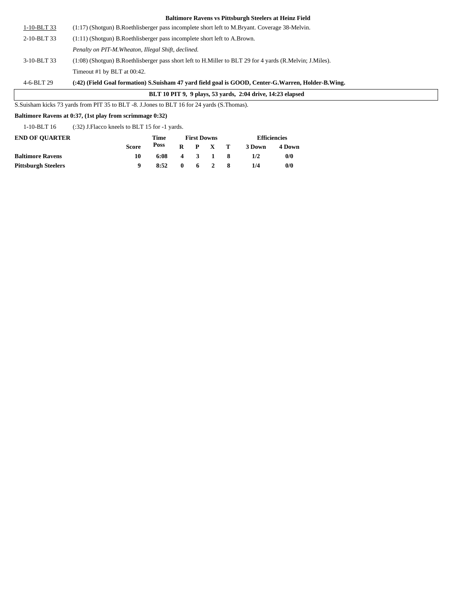| $1-10-BLT33$ | $(1:17)$ (Shotgun) B. Roethlisberger pass incomplete short left to M. Bryant. Coverage 38-Melvin.        |
|--------------|----------------------------------------------------------------------------------------------------------|
| 2-10-BLT 33  | $(1:11)$ (Shotgun) B. Roethlisberger pass incomplete short left to A. Brown.                             |
|              | Penalty on PIT-M. Wheaton, Illegal Shift, declined.                                                      |
| 3-10-BLT 33  | (1:08) (Shotgun) B.Roethlisberger pass short left to H.Miller to BLT 29 for 4 yards (R.Melvin; J.Miles). |
|              | Timeout #1 by BLT at 00:42.                                                                              |
| 4-6-BLT 29   | (42) (Field Goal formation) S.Suisham 47 vard field goal is GOOD. Center-G.Warren. Holder-B.             |

#### 4-6-BLT 29 **(:42) (Field Goal formation) S.Suisham 47 yard field goal is GOOD, Center-G.Warren, Holder-B.Wing.**

#### **BLT 10 PIT 9, 9 plays, 53 yards, 2:04 drive, 14:23 elapsed**

S.Suisham kicks 73 yards from PIT 35 to BLT -8. J.Jones to BLT 16 for 24 yards (S.Thomas).

#### **Baltimore Ravens at 0:37, (1st play from scrimmage 0:32)**

1-10-BLT 16 (:32) J.Flacco kneels to BLT 15 for -1 yards.

| <b>END OF OUARTER</b>      |       | Time |  | <b>First Downs</b> | <b>Efficiencies</b> |        |  |  |
|----------------------------|-------|------|--|--------------------|---------------------|--------|--|--|
|                            | Score | Poss |  | $R$ $P$ $X$ $T$    | 3 Down              | 4 Down |  |  |
| <b>Baltimore Ravens</b>    | 10    | 6:08 |  | 4 3 1 8            | 1/2                 | 0/0    |  |  |
| <b>Pittsburgh Steelers</b> |       | 8:52 |  | $0 \t 6 \t 2 \t 8$ | 1/4                 | 0/0    |  |  |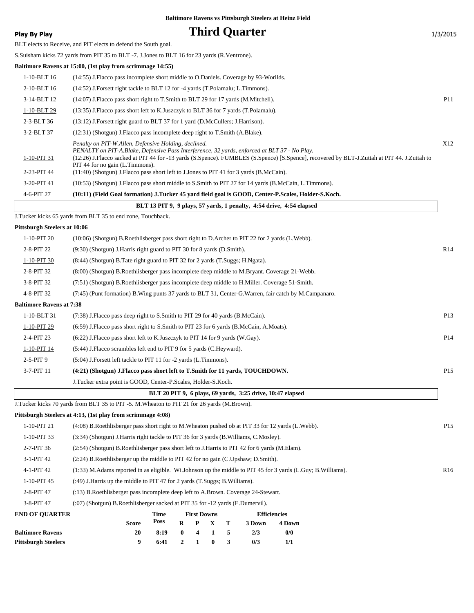| <b>Play By Play</b>             |                                                                                                                                                                                                                                                                                    |              |                                      |                    |                       |        | <b>Third Quarter</b>                                                 |                     |                                                                                                                                             | 1/3/2015        |
|---------------------------------|------------------------------------------------------------------------------------------------------------------------------------------------------------------------------------------------------------------------------------------------------------------------------------|--------------|--------------------------------------|--------------------|-----------------------|--------|----------------------------------------------------------------------|---------------------|---------------------------------------------------------------------------------------------------------------------------------------------|-----------------|
|                                 | BLT elects to Receive, and PIT elects to defend the South goal.                                                                                                                                                                                                                    |              |                                      |                    |                       |        |                                                                      |                     |                                                                                                                                             |                 |
|                                 | S. Suisham kicks 72 yards from PIT 35 to BLT -7. J. Jones to BLT 16 for 23 yards (R. Ventrone).                                                                                                                                                                                    |              |                                      |                    |                       |        |                                                                      |                     |                                                                                                                                             |                 |
|                                 | Baltimore Ravens at 15:00, (1st play from scrimmage 14:55)                                                                                                                                                                                                                         |              |                                      |                    |                       |        |                                                                      |                     |                                                                                                                                             |                 |
| 1-10-BLT 16                     | (14:55) J. Flacco pass incomplete short middle to O. Daniels. Coverage by 93-Worilds.                                                                                                                                                                                              |              |                                      |                    |                       |        |                                                                      |                     |                                                                                                                                             |                 |
| 2-10-BLT 16                     | (14:52) J.Forsett right tackle to BLT 12 for -4 yards (T.Polamalu; L.Timmons).                                                                                                                                                                                                     |              |                                      |                    |                       |        |                                                                      |                     |                                                                                                                                             |                 |
| 3-14-BLT 12                     | (14:07) J.Flacco pass short right to T.Smith to BLT 29 for 17 yards (M.Mitchell).                                                                                                                                                                                                  |              |                                      |                    |                       |        |                                                                      |                     |                                                                                                                                             | P11             |
| 1-10-BLT 29                     | (13:35) J.Flacco pass short left to K.Juszczyk to BLT 36 for 7 yards (T.Polamalu).                                                                                                                                                                                                 |              |                                      |                    |                       |        |                                                                      |                     |                                                                                                                                             |                 |
| 2-3-BLT 36                      | (13:12) J.Forsett right guard to BLT 37 for 1 yard (D.McCullers; J.Harrison).                                                                                                                                                                                                      |              |                                      |                    |                       |        |                                                                      |                     |                                                                                                                                             |                 |
| 3-2-BLT 37                      | (12:31) (Shotgun) J. Flacco pass incomplete deep right to T. Smith (A. Blake).                                                                                                                                                                                                     |              |                                      |                    |                       |        |                                                                      |                     |                                                                                                                                             |                 |
| 1-10-PIT 31<br>2-23-PIT 44      | Penalty on PIT-W.Allen, Defensive Holding, declined.<br>PENALTY on PIT-A.Blake, Defensive Pass Interference, 32 yards, enforced at BLT 37 - No Play.<br>PIT 44 for no gain (L.Timmons).<br>(11:40) (Shotgun) J.Flacco pass short left to J.Jones to PIT 41 for 3 yards (B.McCain). |              |                                      |                    |                       |        |                                                                      |                     | (12:26) J.Flacco sacked at PIT 44 for -13 yards (S.Spence). FUMBLES (S.Spence) [S.Spence], recovered by BLT-J.Zuttah at PIT 44. J.Zuttah to | X12             |
| 3-20-PIT 41                     | (10:53) (Shotgun) J. Flacco pass short middle to S. Smith to PIT 27 for 14 yards (B. McCain, L. Timmons).                                                                                                                                                                          |              |                                      |                    |                       |        |                                                                      |                     |                                                                                                                                             |                 |
| 4-6-PIT 27                      | (10:11) (Field Goal formation) J.Tucker 45 yard field goal is GOOD, Center-P.Scales, Holder-S.Koch.                                                                                                                                                                                |              |                                      |                    |                       |        |                                                                      |                     |                                                                                                                                             |                 |
|                                 |                                                                                                                                                                                                                                                                                    |              |                                      |                    |                       |        | BLT 13 PIT 9, 9 plays, 57 yards, 1 penalty, 4:54 drive, 4:54 elapsed |                     |                                                                                                                                             |                 |
|                                 | J.Tucker kicks 65 yards from BLT 35 to end zone, Touchback.                                                                                                                                                                                                                        |              |                                      |                    |                       |        |                                                                      |                     |                                                                                                                                             |                 |
| Pittsburgh Steelers at 10:06    |                                                                                                                                                                                                                                                                                    |              |                                      |                    |                       |        |                                                                      |                     |                                                                                                                                             |                 |
| 1-10-PIT 20                     | (10:06) (Shotgun) B.Roethlisberger pass short right to D.Archer to PIT 22 for 2 yards (L.Webb).                                                                                                                                                                                    |              |                                      |                    |                       |        |                                                                      |                     |                                                                                                                                             |                 |
| 2-8-PIT 22                      | (9:30) (Shotgun) J.Harris right guard to PIT 30 for 8 yards (D.Smith).                                                                                                                                                                                                             |              |                                      |                    |                       |        |                                                                      |                     |                                                                                                                                             | R14             |
| 1-10-PIT 30                     | (8.44) (Shotgun) B. Tate right guard to PIT 32 for 2 yards (T. Suggs; H. Ngata).                                                                                                                                                                                                   |              |                                      |                    |                       |        |                                                                      |                     |                                                                                                                                             |                 |
| 2-8-PIT 32                      | (8:00) (Shotgun) B.Roethlisberger pass incomplete deep middle to M.Bryant. Coverage 21-Webb.                                                                                                                                                                                       |              |                                      |                    |                       |        |                                                                      |                     |                                                                                                                                             |                 |
| 3-8-PIT 32                      | (7:51) (Shotgun) B.Roethlisberger pass incomplete deep middle to H.Miller. Coverage 51-Smith.                                                                                                                                                                                      |              |                                      |                    |                       |        |                                                                      |                     |                                                                                                                                             |                 |
| 4-8-PIT 32                      | (7:45) (Punt formation) B. Wing punts 37 yards to BLT 31, Center-G. Warren, fair catch by M. Campanaro.                                                                                                                                                                            |              |                                      |                    |                       |        |                                                                      |                     |                                                                                                                                             |                 |
| <b>Baltimore Ravens at 7:38</b> |                                                                                                                                                                                                                                                                                    |              |                                      |                    |                       |        |                                                                      |                     |                                                                                                                                             |                 |
| 1-10-BLT 31                     | (7:38) J. Flacco pass deep right to S. Smith to PIT 29 for 40 yards (B. McCain).                                                                                                                                                                                                   |              |                                      |                    |                       |        |                                                                      |                     |                                                                                                                                             | P13             |
| $1-10-PIT$ 29                   | (6:59) J.Flacco pass short right to S.Smith to PIT 23 for 6 yards (B.McCain, A.Moats).                                                                                                                                                                                             |              |                                      |                    |                       |        |                                                                      |                     |                                                                                                                                             |                 |
| 2-4-PIT 23                      | $(6:22)$ J. Flacco pass short left to K. Juszczyk to PIT 14 for 9 yards (W. Gay).                                                                                                                                                                                                  |              |                                      |                    |                       |        |                                                                      |                     |                                                                                                                                             | P14             |
| 1-10-PIT 14                     | (5:44) J. Flacco scrambles left end to PIT 9 for 5 yards (C. Heyward).                                                                                                                                                                                                             |              |                                      |                    |                       |        |                                                                      |                     |                                                                                                                                             |                 |
| $2-5-PIT9$                      | (5:04) J. Forsett left tackle to PIT 11 for -2 yards (L. Timmons).                                                                                                                                                                                                                 |              |                                      |                    |                       |        |                                                                      |                     |                                                                                                                                             |                 |
| 3-7-PIT 11                      | (4:21) (Shotgun) J.Flacco pass short left to T.Smith for 11 yards, TOUCHDOWN.                                                                                                                                                                                                      |              |                                      |                    |                       |        |                                                                      |                     |                                                                                                                                             | P <sub>15</sub> |
|                                 | J.Tucker extra point is GOOD, Center-P.Scales, Holder-S.Koch.                                                                                                                                                                                                                      |              |                                      |                    |                       |        |                                                                      |                     |                                                                                                                                             |                 |
|                                 |                                                                                                                                                                                                                                                                                    |              |                                      |                    |                       |        | BLT 20 PIT 9, 6 plays, 69 yards, 3:25 drive, 10:47 elapsed           |                     |                                                                                                                                             |                 |
|                                 | J.Tucker kicks 70 yards from BLT 35 to PIT -5. M.Wheaton to PIT 21 for 26 yards (M.Brown).                                                                                                                                                                                         |              |                                      |                    |                       |        |                                                                      |                     |                                                                                                                                             |                 |
|                                 | Pittsburgh Steelers at 4:13, (1st play from scrimmage 4:08)                                                                                                                                                                                                                        |              |                                      |                    |                       |        |                                                                      |                     |                                                                                                                                             |                 |
| 1-10-PIT 21                     | (4:08) B.Roethlisberger pass short right to M.Wheaton pushed ob at PIT 33 for 12 yards (L.Webb).                                                                                                                                                                                   |              |                                      |                    |                       |        |                                                                      |                     |                                                                                                                                             | P <sub>15</sub> |
| $1-10-PIT$ 33                   | (3:34) (Shotgun) J.Harris right tackle to PIT 36 for 3 yards (B.Williams, C.Mosley).                                                                                                                                                                                               |              |                                      |                    |                       |        |                                                                      |                     |                                                                                                                                             |                 |
| 2-7-PIT 36                      | (2:54) (Shotgun) B.Roethlisberger pass short left to J.Harris to PIT 42 for 6 yards (M.Elam).                                                                                                                                                                                      |              |                                      |                    |                       |        |                                                                      |                     |                                                                                                                                             |                 |
| 3-1-PIT 42                      | (2.24) B.Roethlisberger up the middle to PIT 42 for no gain (C.Upshaw; D.Smith).                                                                                                                                                                                                   |              |                                      |                    |                       |        |                                                                      |                     |                                                                                                                                             |                 |
| 4-1-PIT 42                      | (1:33) M. Adams reported in as eligible. Wi. Johnson up the middle to PIT 45 for 3 yards (L. Guy; B. Williams).                                                                                                                                                                    |              |                                      |                    |                       |        |                                                                      |                     |                                                                                                                                             | R <sub>16</sub> |
| $1-10-PIT$ 45                   | (:49) J. Harris up the middle to PIT 47 for 2 yards (T. Suggs; B. Williams).                                                                                                                                                                                                       |              |                                      |                    |                       |        |                                                                      |                     |                                                                                                                                             |                 |
| 2-8-PIT 47                      | (:13) B.Roethlisberger pass incomplete deep left to A.Brown. Coverage 24-Stewart.                                                                                                                                                                                                  |              |                                      |                    |                       |        |                                                                      |                     |                                                                                                                                             |                 |
| 3-8-PIT 47                      | (:07) (Shotgun) B.Roethlisberger sacked at PIT 35 for -12 yards (E.Dumervil).                                                                                                                                                                                                      |              |                                      |                    |                       |        |                                                                      |                     |                                                                                                                                             |                 |
| <b>END OF QUARTER</b>           |                                                                                                                                                                                                                                                                                    | Time         |                                      | <b>First Downs</b> |                       |        |                                                                      | <b>Efficiencies</b> |                                                                                                                                             |                 |
| <b>Baltimore Ravens</b>         | <b>Score</b>                                                                                                                                                                                                                                                                       | Poss         | $\mathbf R$                          | P                  | X                     | т      | 3 Down                                                               | 4 Down              |                                                                                                                                             |                 |
| <b>Pittsburgh Steelers</b>      | 20<br>9                                                                                                                                                                                                                                                                            | 8:19<br>6:41 | $\boldsymbol{0}$<br>$\boldsymbol{2}$ | 4<br>1             | 1<br>$\boldsymbol{0}$ | 5<br>3 | 2/3<br>0/3                                                           | 0/0<br>1/1          |                                                                                                                                             |                 |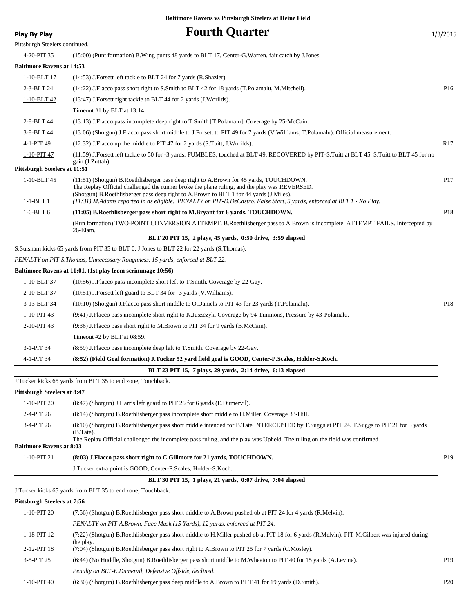| <b>Play By Play</b>                | <b>Fourth Quarter</b>                                                                                                                                                                  | 1/3/2015        |
|------------------------------------|----------------------------------------------------------------------------------------------------------------------------------------------------------------------------------------|-----------------|
| Pittsburgh Steelers continued.     |                                                                                                                                                                                        |                 |
| 4-20-PIT 35                        | (15:00) (Punt formation) B. Wing punts 48 yards to BLT 17, Center-G. Warren, fair catch by J. Jones.                                                                                   |                 |
| <b>Baltimore Ravens at 14:53</b>   |                                                                                                                                                                                        |                 |
| 1-10-BLT 17                        | (14:53) J.Forsett left tackle to BLT 24 for 7 yards (R.Shazier).                                                                                                                       |                 |
| 2-3-BLT 24                         | (14:22) J.Flacco pass short right to S.Smith to BLT 42 for 18 yards (T.Polamalu, M.Mitchell).                                                                                          | P <sub>16</sub> |
| 1-10-BLT 42                        | (13:47) J. Forsett right tackle to BLT 44 for 2 yards (J. Worilds).                                                                                                                    |                 |
|                                    | Timeout #1 by BLT at 13:14.                                                                                                                                                            |                 |
| 2-8-BLT 44                         | (13:13) J. Flacco pass incomplete deep right to T. Smith [T. Polamalu]. Coverage by 25-McCain.                                                                                         |                 |
| 3-8-BLT 44                         | (13:06) (Shotgun) J.Flacco pass short middle to J.Forsett to PIT 49 for 7 yards (V.Williams; T.Polamalu). Official measurement.                                                        |                 |
| 4-1-PIT 49                         | (12:32) J. Flacco up the middle to PIT 47 for 2 yards (S. Tuitt, J. Worilds).                                                                                                          | R <sub>17</sub> |
| 1-10-PIT 47                        | (11:59) J.Forsett left tackle to 50 for -3 yards. FUMBLES, touched at BLT 49, RECOVERED by PIT-S.Tuitt at BLT 45. S.Tuitt to BLT 45 for no                                             |                 |
|                                    | gain (J.Zuttah).                                                                                                                                                                       |                 |
| Pittsburgh Steelers at 11:51       |                                                                                                                                                                                        |                 |
| 1-10-BLT 45                        | (11:51) (Shotgun) B.Roethlisberger pass deep right to A.Brown for 45 yards, TOUCHDOWN.<br>The Replay Official challenged the runner broke the plane ruling, and the play was REVERSED. | P <sub>17</sub> |
|                                    | (Shotgun) B.Roethlisberger pass deep right to A.Brown to BLT 1 for 44 yards (J.Miles).                                                                                                 |                 |
| <u>1-1-BLT 1</u>                   | (11:31) M.Adams reported in as eligible. PENALTY on PIT-D.DeCastro, False Start, 5 yards, enforced at BLT 1 - No Play.                                                                 |                 |
| $1-6-BLT6$                         | (11:05) B.Roethlisberger pass short right to M.Bryant for 6 yards, TOUCHDOWN.                                                                                                          | P18             |
|                                    | (Run formation) TWO-POINT CONVERSION ATTEMPT. B.Roethlisberger pass to A.Brown is incomplete. ATTEMPT FAILS. Intercepted by<br>26-Elam.                                                |                 |
|                                    | BLT 20 PIT 15, 2 plays, 45 yards, 0:50 drive, 3:59 elapsed                                                                                                                             |                 |
|                                    | S. Suisham kicks 65 yards from PIT 35 to BLT 0. J. Jones to BLT 22 for 22 yards (S. Thomas).                                                                                           |                 |
|                                    | PENALTY on PIT-S.Thomas, Unnecessary Roughness, 15 yards, enforced at BLT 22.                                                                                                          |                 |
|                                    | Baltimore Ravens at 11:01, (1st play from scrimmage 10:56)                                                                                                                             |                 |
| 1-10-BLT 37                        | (10:56) J.Flacco pass incomplete short left to T.Smith. Coverage by 22-Gay.                                                                                                            |                 |
| 2-10-BLT 37                        | (10:51) J. Forsett left guard to BLT 34 for -3 yards (V. Williams).                                                                                                                    |                 |
| 3-13-BLT 34                        | (10:10) (Shotgun) J.Flacco pass short middle to O.Daniels to PIT 43 for 23 yards (T.Polamalu).                                                                                         | P18             |
| 1-10-PIT 43                        | (9:41) J.Flacco pass incomplete short right to K.Juszczyk. Coverage by 94-Timmons, Pressure by 43-Polamalu.                                                                            |                 |
| 2-10-PIT 43                        | (9:36) J.Flacco pass short right to M.Brown to PIT 34 for 9 yards (B.McCain).                                                                                                          |                 |
|                                    | Timeout #2 by BLT at $08:59$ .                                                                                                                                                         |                 |
| 3-1-PIT 34                         | (8:59) J.Flacco pass incomplete deep left to T.Smith. Coverage by 22-Gay.                                                                                                              |                 |
| 4-1-PIT 34                         | (8:52) (Field Goal formation) J.Tucker 52 yard field goal is GOOD, Center-P.Scales, Holder-S.Koch.                                                                                     |                 |
|                                    | BLT 23 PIT 15, 7 plays, 29 yards, 2:14 drive, 6:13 elapsed                                                                                                                             |                 |
|                                    | J. Tucker kicks 65 yards from BLT 35 to end zone, Touchback.                                                                                                                           |                 |
| <b>Pittsburgh Steelers at 8:47</b> |                                                                                                                                                                                        |                 |
| 1-10-PIT 20                        | (8:47) (Shotgun) J.Harris left guard to PIT 26 for 6 yards (E.Dumervil).                                                                                                               |                 |
| 2-4-PIT 26                         | (8:14) (Shotgun) B.Roethlisberger pass incomplete short middle to H.Miller. Coverage 33-Hill.                                                                                          |                 |
| 3-4-PIT 26                         | (8:10) (Shotgun) B.Roethlisberger pass short middle intended for B.Tate INTERCEPTED by T.Suggs at PIT 24. T.Suggs to PIT 21 for 3 yards                                                |                 |
|                                    | (B. Tate).<br>The Replay Official challenged the incomplete pass ruling, and the play was Upheld. The ruling on the field was confirmed.                                               |                 |
| <b>Baltimore Ravens at 8:03</b>    |                                                                                                                                                                                        |                 |
| 1-10-PIT 21                        | (8:03) J. Flacco pass short right to C. Gillmore for 21 yards, TOUCHDOWN.                                                                                                              | P <sub>19</sub> |
|                                    | J.Tucker extra point is GOOD, Center-P.Scales, Holder-S.Koch.                                                                                                                          |                 |
|                                    | BLT 30 PIT 15, 1 plays, 21 yards, 0:07 drive, 7:04 elapsed                                                                                                                             |                 |
|                                    | J.Tucker kicks 65 yards from BLT 35 to end zone, Touchback.                                                                                                                            |                 |
| <b>Pittsburgh Steelers at 7:56</b> |                                                                                                                                                                                        |                 |
| 1-10-PIT 20                        | (7:56) (Shotgun) B.Roethlisberger pass short middle to A.Brown pushed ob at PIT 24 for 4 yards (R.Melvin).                                                                             |                 |
|                                    | PENALTY on PIT-A.Brown, Face Mask (15 Yards), 12 yards, enforced at PIT 24.                                                                                                            |                 |
| 1-18-PIT 12                        | (7:22) (Shotgun) B.Roethlisberger pass short middle to H.Miller pushed ob at PIT 18 for 6 yards (R.Melvin). PIT-M.Gilbert was injured during                                           |                 |
| 2-12-PIT 18                        | the play.<br>(7:04) (Shotgun) B.Roethlisberger pass short right to A.Brown to PIT 25 for 7 yards (C.Mosley).                                                                           |                 |
| 3-5-PIT 25                         | (6:44) (No Huddle, Shotgun) B.Roethlisberger pass short middle to M.Wheaton to PIT 40 for 15 yards (A.Levine).                                                                         | P <sub>19</sub> |
|                                    | Penalty on BLT-E.Dumervil, Defensive Offside, declined.                                                                                                                                |                 |

1-10-PIT 40 (6:30) (Shotgun) B.Roethlisberger pass deep middle to A.Brown to BLT 41 for 19 yards (D.Smith). P20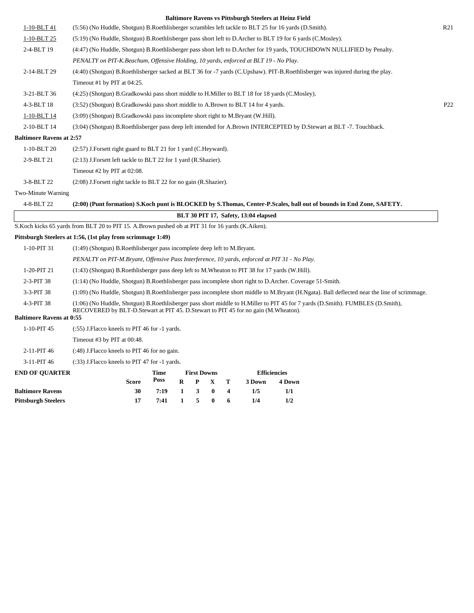|                                 |                                                                                                                      |      |              |                    |          |   |                                      | <b>Baltimore Ravens vs Pittsburgh Steelers at Heinz Field</b> |                                                                                                                                             |                 |
|---------------------------------|----------------------------------------------------------------------------------------------------------------------|------|--------------|--------------------|----------|---|--------------------------------------|---------------------------------------------------------------|---------------------------------------------------------------------------------------------------------------------------------------------|-----------------|
| 1-10-BLT 41                     | (5:56) (No Huddle, Shotgun) B.Roethlisberger scrambles left tackle to BLT 25 for 16 yards (D.Smith).                 |      |              |                    |          |   |                                      |                                                               |                                                                                                                                             | R21             |
| 1-10-BLT 25                     | (5:19) (No Huddle, Shotgun) B.Roethlisberger pass short left to D.Archer to BLT 19 for 6 yards (C.Mosley).           |      |              |                    |          |   |                                      |                                                               |                                                                                                                                             |                 |
| 2-4-BLT 19                      |                                                                                                                      |      |              |                    |          |   |                                      |                                                               | (4:47) (No Huddle, Shotgun) B.Roethlisberger pass short left to D.Archer for 19 yards, TOUCHDOWN NULLIFIED by Penalty.                      |                 |
|                                 | PENALTY on PIT-K.Beachum, Offensive Holding, 10 yards, enforced at BLT 19 - No Play.                                 |      |              |                    |          |   |                                      |                                                               |                                                                                                                                             |                 |
| 2-14-BLT 29                     |                                                                                                                      |      |              |                    |          |   |                                      |                                                               | (4:40) (Shotgun) B.Roethlisberger sacked at BLT 36 for -7 yards (C.Upshaw). PIT-B.Roethlisberger was injured during the play.               |                 |
|                                 | Timeout #1 by PIT at 04:25.                                                                                          |      |              |                    |          |   |                                      |                                                               |                                                                                                                                             |                 |
| 3-21-BLT 36                     | (4:25) (Shotgun) B.Gradkowski pass short middle to H.Miller to BLT 18 for 18 yards (C.Mosley).                       |      |              |                    |          |   |                                      |                                                               |                                                                                                                                             |                 |
| 4-3-BLT 18                      | (3:52) (Shotgun) B.Gradkowski pass short middle to A.Brown to BLT 14 for 4 yards.                                    |      |              |                    |          |   |                                      |                                                               |                                                                                                                                             | P <sub>22</sub> |
| 1-10-BLT 14                     | (3:09) (Shotgun) B.Gradkowski pass incomplete short right to M.Bryant (W.Hill).                                      |      |              |                    |          |   |                                      |                                                               |                                                                                                                                             |                 |
| 2-10-BLT 14                     | (3:04) (Shotgun) B.Roethlisberger pass deep left intended for A.Brown INTERCEPTED by D.Stewart at BLT -7. Touchback. |      |              |                    |          |   |                                      |                                                               |                                                                                                                                             |                 |
| <b>Baltimore Ravens at 2:57</b> |                                                                                                                      |      |              |                    |          |   |                                      |                                                               |                                                                                                                                             |                 |
| 1-10-BLT 20                     | (2:57) J.Forsett right guard to BLT 21 for 1 yard (C.Heyward).                                                       |      |              |                    |          |   |                                      |                                                               |                                                                                                                                             |                 |
| 2-9-BLT 21                      | (2:13) J.Forsett left tackle to BLT 22 for 1 yard (R.Shazier).                                                       |      |              |                    |          |   |                                      |                                                               |                                                                                                                                             |                 |
|                                 | Timeout #2 by PIT at 02:08.                                                                                          |      |              |                    |          |   |                                      |                                                               |                                                                                                                                             |                 |
| 3-8-BLT 22                      | (2:08) J.Forsett right tackle to BLT 22 for no gain (R.Shazier).                                                     |      |              |                    |          |   |                                      |                                                               |                                                                                                                                             |                 |
| Two-Minute Warning              |                                                                                                                      |      |              |                    |          |   |                                      |                                                               |                                                                                                                                             |                 |
| 4-8-BLT 22                      |                                                                                                                      |      |              |                    |          |   |                                      |                                                               | (2:00) (Punt formation) S.Koch punt is BLOCKED by S.Thomas, Center-P.Scales, ball out of bounds in End Zone, SAFETY.                        |                 |
|                                 |                                                                                                                      |      |              |                    |          |   | BLT 30 PIT 17, Safety, 13:04 elapsed |                                                               |                                                                                                                                             |                 |
|                                 | S. Koch kicks 65 yards from BLT 20 to PIT 15. A. Brown pushed ob at PIT 31 for 16 yards (K. Aiken).                  |      |              |                    |          |   |                                      |                                                               |                                                                                                                                             |                 |
|                                 | Pittsburgh Steelers at 1:56, (1st play from scrimmage 1:49)                                                          |      |              |                    |          |   |                                      |                                                               |                                                                                                                                             |                 |
| 1-10-PIT 31                     | (1:49) (Shotgun) B.Roethlisberger pass incomplete deep left to M.Bryant.                                             |      |              |                    |          |   |                                      |                                                               |                                                                                                                                             |                 |
|                                 | PENALTY on PIT-M.Bryant, Offensive Pass Interference, 10 yards, enforced at PIT 31 - No Play.                        |      |              |                    |          |   |                                      |                                                               |                                                                                                                                             |                 |
| 1-20-PIT 21                     | $(1:43)$ (Shotgun) B.Roethlisberger pass deep left to M.Wheaton to PIT 38 for 17 yards (W.Hill).                     |      |              |                    |          |   |                                      |                                                               |                                                                                                                                             |                 |
| 2-3-PIT 38                      | (1:14) (No Huddle, Shotgun) B.Roethlisberger pass incomplete short right to D.Archer. Coverage 51-Smith.             |      |              |                    |          |   |                                      |                                                               |                                                                                                                                             |                 |
| 3-3-PIT 38                      |                                                                                                                      |      |              |                    |          |   |                                      |                                                               | (1:09) (No Huddle, Shotgun) B.Roethlisberger pass incomplete short middle to M.Bryant (H.Ngata). Ball deflected near the line of scrimmage. |                 |
| 4-3-PIT 38                      |                                                                                                                      |      |              |                    |          |   |                                      |                                                               | (1:06) (No Huddle, Shotgun) B.Roethlisberger pass short middle to H.Miller to PIT 45 for 7 yards (D.Smith). FUMBLES (D.Smith),              |                 |
| <b>Baltimore Ravens at 0:55</b> | RECOVERED by BLT-D.Stewart at PIT 45. D.Stewart to PIT 45 for no gain (M.Wheaton).                                   |      |              |                    |          |   |                                      |                                                               |                                                                                                                                             |                 |
| 1-10-PIT 45                     | $(.55)$ J. Flacco kneels to PIT 46 for $-1$ yards.                                                                   |      |              |                    |          |   |                                      |                                                               |                                                                                                                                             |                 |
|                                 | Timeout #3 by PIT at 00:48.                                                                                          |      |              |                    |          |   |                                      |                                                               |                                                                                                                                             |                 |
| 2-11-PIT 46                     | (:48) J. Flacco kneels to PIT 46 for no gain.                                                                        |      |              |                    |          |   |                                      |                                                               |                                                                                                                                             |                 |
| 3-11-PIT 46                     | (:33) J. Flacco kneels to PIT 47 for -1 yards.                                                                       |      |              |                    |          |   |                                      |                                                               |                                                                                                                                             |                 |
| <b>END OF QUARTER</b>           |                                                                                                                      | Time |              | <b>First Downs</b> |          |   |                                      | <b>Efficiencies</b>                                           |                                                                                                                                             |                 |
|                                 | Score                                                                                                                | Poss | $\bf{R}$     | P                  | X        | т | 3 Down                               | 4 Down                                                        |                                                                                                                                             |                 |
| <b>Baltimore Ravens</b>         | 30                                                                                                                   | 7:19 | $\mathbf{1}$ | 3                  | $\bf{0}$ | 4 | 1/5                                  | 1/1                                                           |                                                                                                                                             |                 |
| <b>Pittsburgh Steelers</b>      | 17                                                                                                                   | 7:41 | $\mathbf{1}$ | 5                  | $\bf{0}$ | 6 | 1/4                                  | 1/2                                                           |                                                                                                                                             |                 |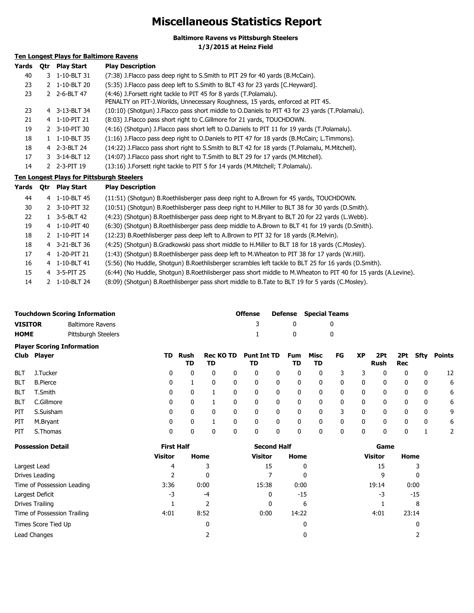# **Miscellaneous Statistics Report**

**Baltimore Ravens vs Pittsburgh Steelers 1/3/2015 at Heinz Field**

### **Ten Longest Plays for Baltimore Ravens**

| Yards | 0tr | <b>Play Start</b> | <b>Play Description</b>                                                                                                                             |
|-------|-----|-------------------|-----------------------------------------------------------------------------------------------------------------------------------------------------|
| 40    |     | 3 1-10-BLT 31     | (7:38) J. Flacco pass deep right to S. Smith to PIT 29 for 40 yards (B. McCain).                                                                    |
| 23    |     | 1-10-BLT 20       | (5:35) J. Flacco pass deep left to S. Smith to BLT 43 for 23 yards [C. Heyward].                                                                    |
| 23    |     | 2-6-BLT 47        | (4:46) J.Forsett right tackle to PIT 45 for 8 yards (T.Polamalu).<br>PENALTY on PIT-J.Worilds, Unnecessary Roughness, 15 yards, enforced at PIT 45. |
| 23    |     | 4 3-13-BLT 34     | (10:10) (Shotgun) J. Flacco pass short middle to O. Daniels to PIT 43 for 23 yards (T. Polamalu).                                                   |
| 21    |     | 4 1-10-PIT 21     | (8:03) J. Flacco pass short right to C. Gillmore for 21 yards, TOUCHDOWN.                                                                           |
| 19    |     | 2 3-10-PIT 30     | (4:16) (Shotgun) J. Flacco pass short left to O. Daniels to PIT 11 for 19 yards (T. Polamalu).                                                      |
| 18    |     | 1-10-BLT 35       | (1:16) J. Flacco pass deep right to O. Daniels to PIT 47 for 18 yards (B. McCain; L. Timmons).                                                      |
| 18    |     | 4 2-3-BLT 24      | (14:22) J. Flacco pass short right to S. Smith to BLT 42 for 18 yards (T. Polamalu, M. Mitchell).                                                   |
| 17    |     | 3 3-14-BLT 12     | (14:07) J. Flacco pass short right to T. Smith to BLT 29 for 17 yards (M. Mitchell).                                                                |
| 14    |     | 2 2-3-PIT 19      | (13:16) J. Forsett right tackle to PIT 5 for 14 yards (M. Mitchell; T. Polamalu).                                                                   |

### **Ten Longest Plays for Pittsburgh Steelers**

| Yards | <b>Otr</b> | <b>Play Start</b> | <b>Play Description</b>                                                                                        |
|-------|------------|-------------------|----------------------------------------------------------------------------------------------------------------|
| 44    |            | 4 1-10-BLT 45     | (11:51) (Shotgun) B. Roethlisberger pass deep right to A. Brown for 45 yards, TOUCHDOWN.                       |
| 30    |            | 2 3-10-PIT 32     | (10:51) (Shotgun) B.Roethlisberger pass deep right to H.Miller to BLT 38 for 30 yards (D.Smith).               |
| 22    | 1.         | 3-5-BLT 42        | (4:23) (Shotgun) B.Roethlisberger pass deep right to M.Bryant to BLT 20 for 22 yards (L.Webb).                 |
| 19    |            | 4 1-10-PIT 40     | (6:30) (Shotgun) B.Roethlisberger pass deep middle to A.Brown to BLT 41 for 19 yards (D.Smith).                |
| 18    |            | 2 1-10-PIT 14     | (12:23) B. Roethlisberger pass deep left to A. Brown to PIT 32 for 18 yards (R. Melvin).                       |
| 18    |            | 4 3-21-BLT 36     | (4:25) (Shotgun) B.Gradkowski pass short middle to H.Miller to BLT 18 for 18 yards (C.Mosley).                 |
| 17    |            | 4 1-20-PIT 21     | (1:43) (Shotgun) B.Roethlisberger pass deep left to M.Wheaton to PIT 38 for 17 yards (W.Hill).                 |
| 16    |            | 4 1-10-BLT 41     | (5:56) (No Huddle, Shotgun) B.Roethlisberger scrambles left tackle to BLT 25 for 16 yards (D.Smith).           |
| 15    |            | 4 3-5-PIT 25      | (6:44) (No Huddle, Shotgun) B.Roethlisberger pass short middle to M.Wheaton to PIT 40 for 15 yards (A.Levine). |
| 14    |            | 1-10-BLT 24       | (8:09) (Shotqun) B.Roethlisberger pass short middle to B.Tate to BLT 19 for 5 yards (C.Mosley).                |

|                | <b>Touchdown Scoring Information</b> | Offense |              | <b>Defense</b> Special Teams |
|----------------|--------------------------------------|---------|--------------|------------------------------|
| <b>VISITOR</b> | Baltimore Ravens                     |         |              |                              |
| <b>HOME</b>    | Pittsburgh Steelers                  |         | $\mathbf{u}$ |                              |
|                | <b>Plaver Scoring Information</b>    |         |              |                              |

|            | Club Player     |   | TD Rush<br>TD | TD |   | Rec KO TD Punt Int TD<br>TD |             | Fum Misc<br>TD | TD           | FG | <b>XP</b>   | 2Pt<br>Rush | Rec | 2Pt Sfty | Points |
|------------|-----------------|---|---------------|----|---|-----------------------------|-------------|----------------|--------------|----|-------------|-------------|-----|----------|--------|
| BLT        | J.Tucker        | 0 | 0             |    | 0 | 0                           | $\mathbf 0$ | 0              | 0            |    | 3           |             | 0   | 0        | 12     |
| <b>BLT</b> | <b>B.Pierce</b> | 0 |               |    | 0 | 0                           | 0           | 0              | 0            | 0  | $\mathbf 0$ | 0           | 0   | 0        | 6      |
| <b>BLT</b> | T.Smith         | 0 | 0             |    | 0 | 0                           | 0           | $\Omega$       | 0            | 0  | 0           | 0           | 0   | 0        | 6      |
| <b>BLT</b> | C.Gillmore      | 0 | 0             |    | 0 | 0                           | 0           | 0              | $\mathbf{0}$ | 0  | 0           | 0           | 0   | 0        | 6      |
| PIT        | S.Suisham       | 0 | 0             |    | 0 | 0                           | 0           | 0              | 0            |    | 0           |             | 0   | 0        | 9      |
| PIT        | M.Bryant        | 0 | 0             |    | 0 | 0                           | 0           | 0              | 0            | 0  | 0           |             | 0   | 0        | 6      |
| PIT        | S.Thomas        | 0 | 0             |    | 0 | 0                           | 0           | 0              | 0            | 0  | 0           |             |     |          | 2      |

| <b>Possession Detail</b>    | <b>First Half</b> |      | <b>Second Half</b> |       | Game           |       |  |  |
|-----------------------------|-------------------|------|--------------------|-------|----------------|-------|--|--|
|                             | <b>Visitor</b>    | Home | Visitor            | Home  | <b>Visitor</b> | Home  |  |  |
| Largest Lead                | 4                 |      | 15                 | 0     | 15             |       |  |  |
| Drives Leading              |                   | 0    |                    | 0     |                |       |  |  |
| Time of Possession Leading  | 3:36              | 0:00 | 15:38              | 0:00  | 19:14          | 0:00  |  |  |
| Largest Deficit             | $-3$              | $-4$ | 0                  | -15   | -3             | $-15$ |  |  |
| Drives Trailing             |                   |      |                    | 6     |                | 8     |  |  |
| Time of Possession Trailing | 4:01              | 8:52 | 0:00               | 14:22 | 4:01           | 23:14 |  |  |
| Times Score Tied Up         |                   | 0    |                    | 0     |                |       |  |  |
| Lead Changes                |                   |      |                    | 0     |                |       |  |  |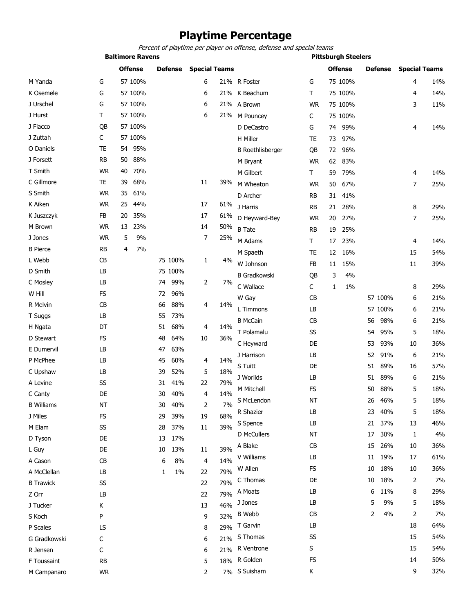# **Playtime Percentage**

**Baltimore Ravens Pittsburgh Steelers** *Percent of playtime per player on offense, defense and special teams*

**Offense Defense Special Teams** G 75 100% 4 14% T 75 100% 4 14% M Pouncey C 75 100% **Offense Defense Special Teams** M Yanda G 57 100% 6 21% K Osemele G 57 100% 6 21%

| J Urschel         | G         |    | 57 100% |    |         | 6              |     | 21% A Brown             | <b>WR</b> |    | 75 100% |                 |         | 3  | 11% |
|-------------------|-----------|----|---------|----|---------|----------------|-----|-------------------------|-----------|----|---------|-----------------|---------|----|-----|
| J Hurst           | Τ         |    | 57 100% |    |         | 6              | 21% | M Pouncey               | C         |    | 75 100% |                 |         |    |     |
| J Flacco          | QB        |    | 57 100% |    |         |                |     | D DeCastro              | G         | 74 | 99%     |                 |         | 4  | 14% |
| J Zuttah          | C         |    | 57 100% |    |         |                |     | H Miller                | TE        | 73 | 97%     |                 |         |    |     |
| O Daniels         | <b>TE</b> | 54 | 95%     |    |         |                |     | <b>B</b> Roethlisberger | QB        | 72 | 96%     |                 |         |    |     |
| J Forsett         | <b>RB</b> | 50 | 88%     |    |         |                |     | M Bryant                | WR        | 62 | 83%     |                 |         |    |     |
| T Smith           | <b>WR</b> | 40 | 70%     |    |         |                |     | M Gilbert               | Τ         | 59 | 79%     |                 |         | 4  | 14% |
| C Gillmore        | TE        | 39 | 68%     |    |         | 11             | 39% | M Wheaton               | <b>WR</b> | 50 | 67%     |                 |         | 7  | 25% |
| S Smith           | <b>WR</b> | 35 | 61%     |    |         |                |     | D Archer                | RB        | 31 | 41%     |                 |         |    |     |
| K Aiken           | <b>WR</b> | 25 | 44%     |    |         | 17             | 61% | J Harris                | <b>RB</b> | 21 | 28%     |                 |         | 8  | 29% |
| K Juszczyk        | FB        | 20 | 35%     |    |         | 17             | 61% | D Heyward-Bey           | WR        | 20 | 27%     |                 |         | 7  | 25% |
| M Brown           | <b>WR</b> | 13 | 23%     |    |         | 14             | 50% | <b>B</b> Tate           | <b>RB</b> | 19 | 25%     |                 |         |    |     |
| J Jones           | <b>WR</b> | 5  | 9%      |    |         | $\overline{7}$ | 25% | M Adams                 | Τ         | 17 | 23%     |                 |         | 4  | 14% |
| <b>B</b> Pierce   | RB        | 4  | 7%      |    |         |                |     | M Spaeth                | TE        | 12 | 16%     |                 |         | 15 | 54% |
| L Webb            | CB        |    |         |    | 75 100% | 1              | 4%  | W Johnson               | FB        | 11 | 15%     |                 |         | 11 | 39% |
| D Smith           | LB        |    |         |    | 75 100% |                |     | <b>B</b> Gradkowski     | QB        | 3  | 4%      |                 |         |    |     |
| C Mosley          | LB        |    |         | 74 | 99%     | 2              | 7%  | C Wallace               | С         | 1  | 1%      |                 |         | 8  | 29% |
| W Hill            | FS        |    |         | 72 | 96%     |                |     | W Gay                   | CB        |    |         |                 | 57 100% | 6  | 21% |
| R Melvin          | CВ        |    |         | 66 | 88%     | 4              | 14% | L Timmons               | LB        |    |         |                 | 57 100% | 6  | 21% |
| T Suggs           | LВ        |    |         | 55 | 73%     |                |     | <b>B McCain</b>         | <b>CB</b> |    |         | 56              | 98%     | 6  | 21% |
| H Ngata           | DT        |    |         | 51 | 68%     | 4              | 14% | T Polamalu              | SS        |    |         | 54              | 95%     | 5  | 18% |
| D Stewart         | <b>FS</b> |    |         | 48 | 64%     | 10             | 36% | C Heyward               | DE        |    |         | 53              | 93%     | 10 | 36% |
| E Dumervil        | LB        |    |         | 47 | 63%     |                |     | J Harrison              | LB        |    |         | 52              | 91%     | 6  | 21% |
| P McPhee          | LB        |    |         | 45 | 60%     | 4              | 14% | S Tuitt                 | DE        |    |         | 51              | 89%     | 16 | 57% |
| C Upshaw          | LВ        |    |         | 39 | 52%     | 5              | 18% | J Worilds               | LB        |    |         | 51              | 89%     | 6  | 21% |
| A Levine          | SS        |    |         | 31 | 41%     | 22             | 79% | M Mitchell              | FS        |    |         | 50              | 88%     | 5  | 18% |
| C Canty           | DE        |    |         | 30 | 40%     | 4              | 14% | S McLendon              | <b>NT</b> |    |         | 26              | 46%     | 5  | 18% |
| <b>B</b> Williams | <b>NT</b> |    |         | 30 | 40%     | 2              | 7%  | R Shazier               | LB        |    |         | 23              | 40%     | 5  | 18% |
| J Miles           | <b>FS</b> |    |         | 29 | 39%     | 19             | 68% | S Spence                | LB        |    |         | 21              | 37%     | 13 | 46% |
| M Elam            | SS        |    |         | 28 | 37%     | 11             | 39% | D McCullers             | <b>NT</b> |    |         | 17              | 30%     | 1  | 4%  |
| D Tyson           | DE        |    |         | 13 | 17%     |                |     | A Blake                 | CB        |    |         | 15 <sub>1</sub> | 26%     | 10 | 36% |
| L Guy             | DE        |    |         | 10 | 13%     | $11\,$         | 39% | V Williams              |           |    |         |                 | 11 19%  | 17 |     |
| A Cason           | CB        |    |         | 6  | 8%      | 4              | 14% |                         | LB        |    |         |                 |         |    | 61% |
| A McClellan       | LB        |    |         | 1  | $1\%$   | 22             | 79% | W Allen                 | FS        |    |         | 10              | 18%     | 10 | 36% |
| <b>B</b> Trawick  | SS        |    |         |    |         | 22             | 79% | C Thomas                | DE        |    |         | 10              | 18%     | 2  | 7%  |
| Z Orr             | LB        |    |         |    |         | 22             | 79% | A Moats                 | LB        |    |         | 6               | 11%     | 8  | 29% |
| J Tucker          | K         |    |         |    |         | 13             | 46% | J Jones                 | LB        |    |         | 5               | 9%      | 5  | 18% |
| S Koch            | P         |    |         |    |         | 9              | 32% | <b>B</b> Webb           | CB        |    |         | 2               | 4%      | 2  | 7%  |
| P Scales          | LS        |    |         |    |         | 8              | 29% | T Garvin                | LB        |    |         |                 |         | 18 | 64% |
| G Gradkowski      | С         |    |         |    |         | 6              | 21% | S Thomas                | SS        |    |         |                 |         | 15 | 54% |
| R Jensen          | C         |    |         |    |         | 6              | 21% | R Ventrone              | S         |    |         |                 |         | 15 | 54% |
| F Toussaint       | <b>RB</b> |    |         |    |         | 5              |     | 18% R Golden            | FS        |    |         |                 |         | 14 | 50% |
| M Campanaro       | <b>WR</b> |    |         |    |         | 2              |     | 7% S Suisham            | Κ         |    |         |                 |         | 9  | 32% |